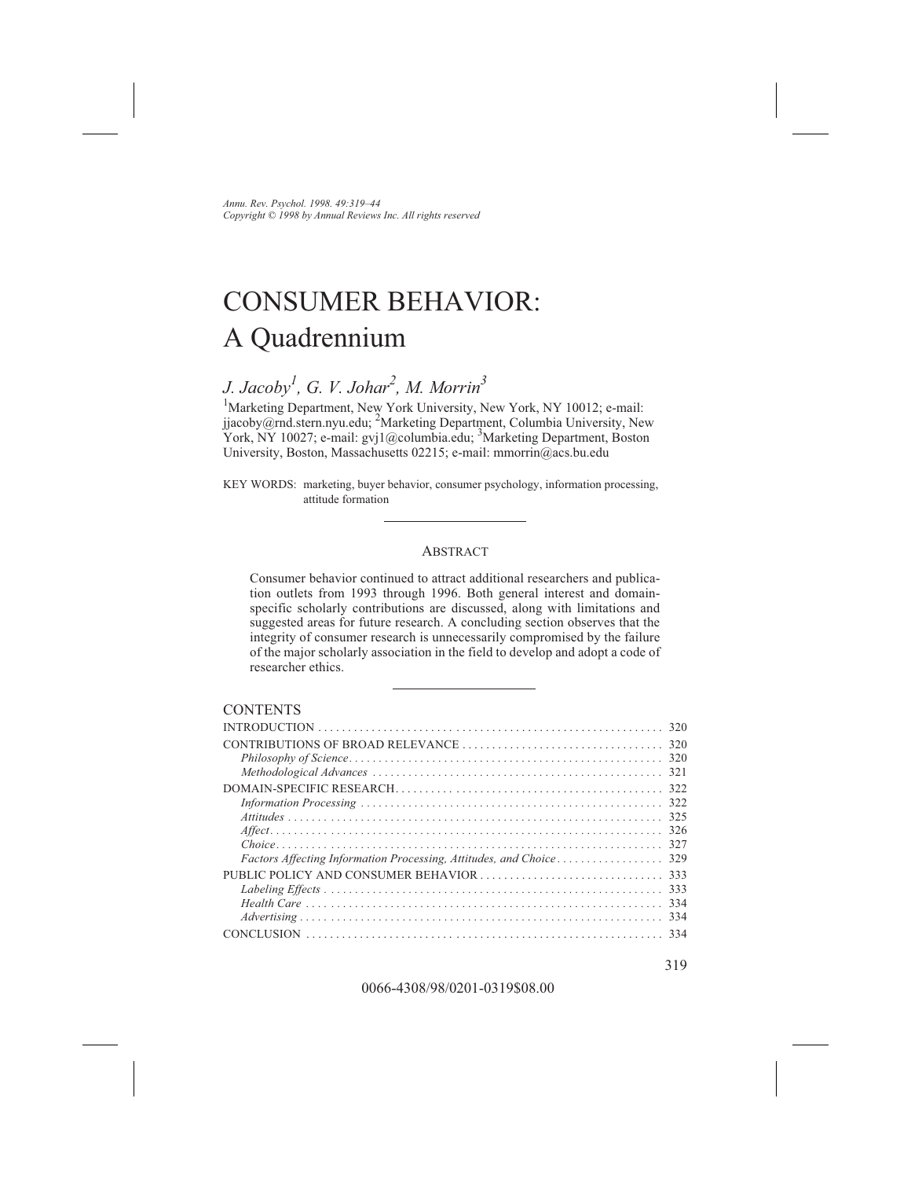# CONSUMER BEHAVIOR: A Quadrennium

# *J. Jacoby1 , G. V. Johar2 , M. Morrin3*

<sup>1</sup>Marketing Department, New York University, New York, NY 10012; e-mail: jjacoby@rnd.stern.nyu.edu; <sup>2</sup> Marketing Department, Columbia University, New York, NY 10027; e-mail: gvj1@columbia.edu; <sup>3</sup>Marketing Department, Boston University, Boston, Massachusetts 02215; e-mail: mmorrin@acs.bu.edu

KEY WORDS: marketing, buyer behavior, consumer psychology, information processing, attitude formation

#### **ABSTRACT**

Consumer behavior continued to attract additional researchers and publication outlets from 1993 through 1996. Both general interest and domainspecific scholarly contributions are discussed, along with limitations and suggested areas for future research. A concluding section observes that the integrity of consumer research is unnecessarily compromised by the failure of the major scholarly association in the field to develop and adopt a code of researcher ethics.

#### **CONTENTS**

| $After$ 326                                                                        |  |
|------------------------------------------------------------------------------------|--|
|                                                                                    |  |
|                                                                                    |  |
|                                                                                    |  |
|                                                                                    |  |
| $Health Care$ $\ldots$ $\ldots$ $\ldots$ $\ldots$ $\ldots$ $\ldots$ $\ldots$ $334$ |  |
|                                                                                    |  |
|                                                                                    |  |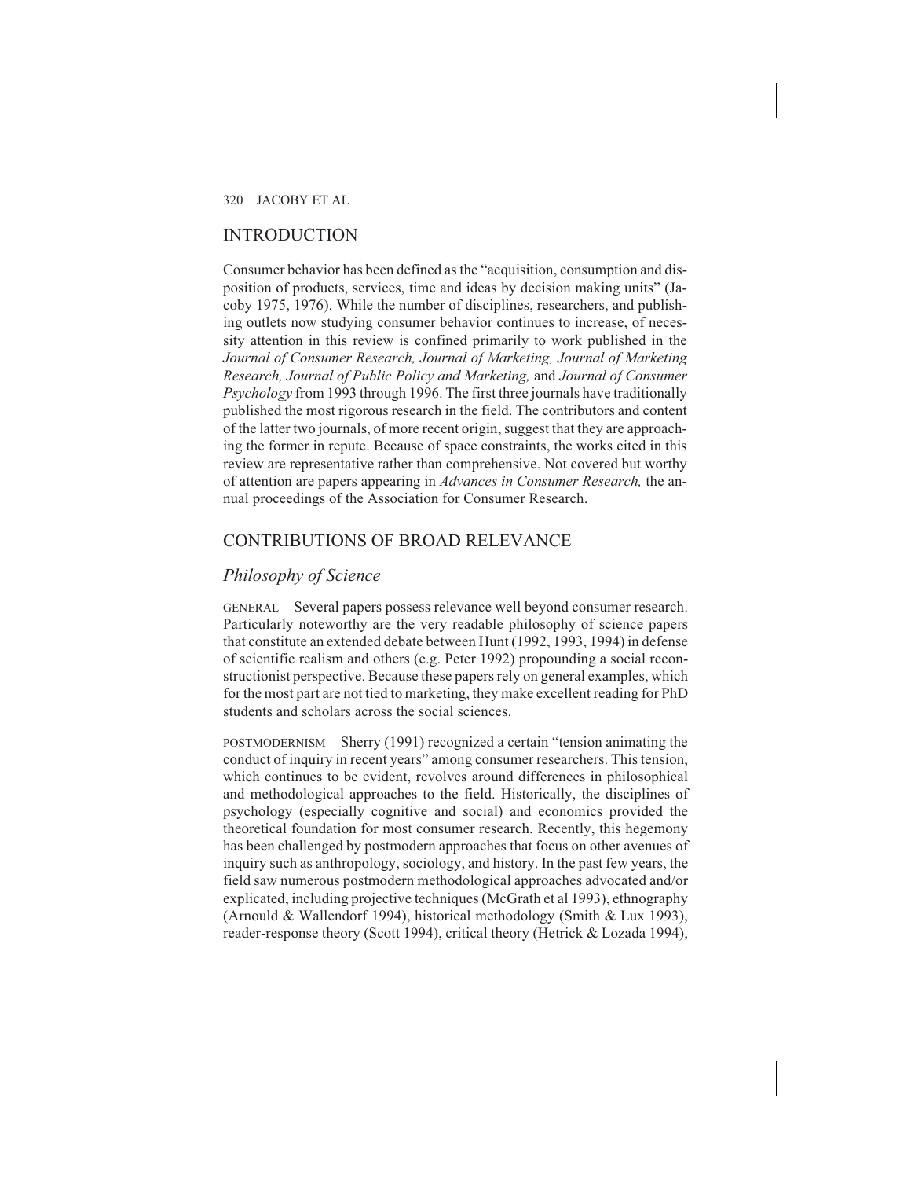# INTRODUCTION

Consumer behavior has been defined as the "acquisition, consumption and disposition of products, services, time and ideas by decision making units" (Jacoby 1975, 1976). While the number of disciplines, researchers, and publishing outlets now studying consumer behavior continues to increase, of necessity attention in this review is confined primarily to work published in the *Journal of Consumer Research, Journal of Marketing, Journal of Marketing Research, Journal of Public Policy and Marketing,* and *Journal of Consumer Psychology* from 1993 through 1996. The first three journals have traditionally published the most rigorous research in the field. The contributors and content of the latter two journals, of more recent origin, suggest that they are approaching the former in repute. Because of space constraints, the works cited in this review are representative rather than comprehensive. Not covered but worthy of attention are papers appearing in *Advances in Consumer Research,* the annual proceedings of the Association for Consumer Research.

# CONTRIBUTIONS OF BROAD RELEVANCE

# *Philosophy of Science*

GENERAL Several papers possess relevance well beyond consumer research. Particularly noteworthy are the very readable philosophy of science papers that constitute an extended debate between Hunt (1992, 1993, 1994) in defense of scientific realism and others (e.g. Peter 1992) propounding a social reconstructionist perspective. Because these papers rely on general examples, which for the most part are not tied to marketing, they make excellent reading for PhD students and scholars across the social sciences.

POSTMODERNISM Sherry (1991) recognized a certain "tension animating the conduct of inquiry in recent years" among consumer researchers. This tension, which continues to be evident, revolves around differences in philosophical and methodological approaches to the field. Historically, the disciplines of psychology (especially cognitive and social) and economics provided the theoretical foundation for most consumer research. Recently, this hegemony has been challenged by postmodern approaches that focus on other avenues of inquiry such as anthropology, sociology, and history. In the past few years, the field saw numerous postmodern methodological approaches advocated and/or explicated, including projective techniques (McGrath et al 1993), ethnography (Arnould & Wallendorf 1994), historical methodology (Smith & Lux 1993), reader-response theory (Scott 1994), critical theory (Hetrick & Lozada 1994),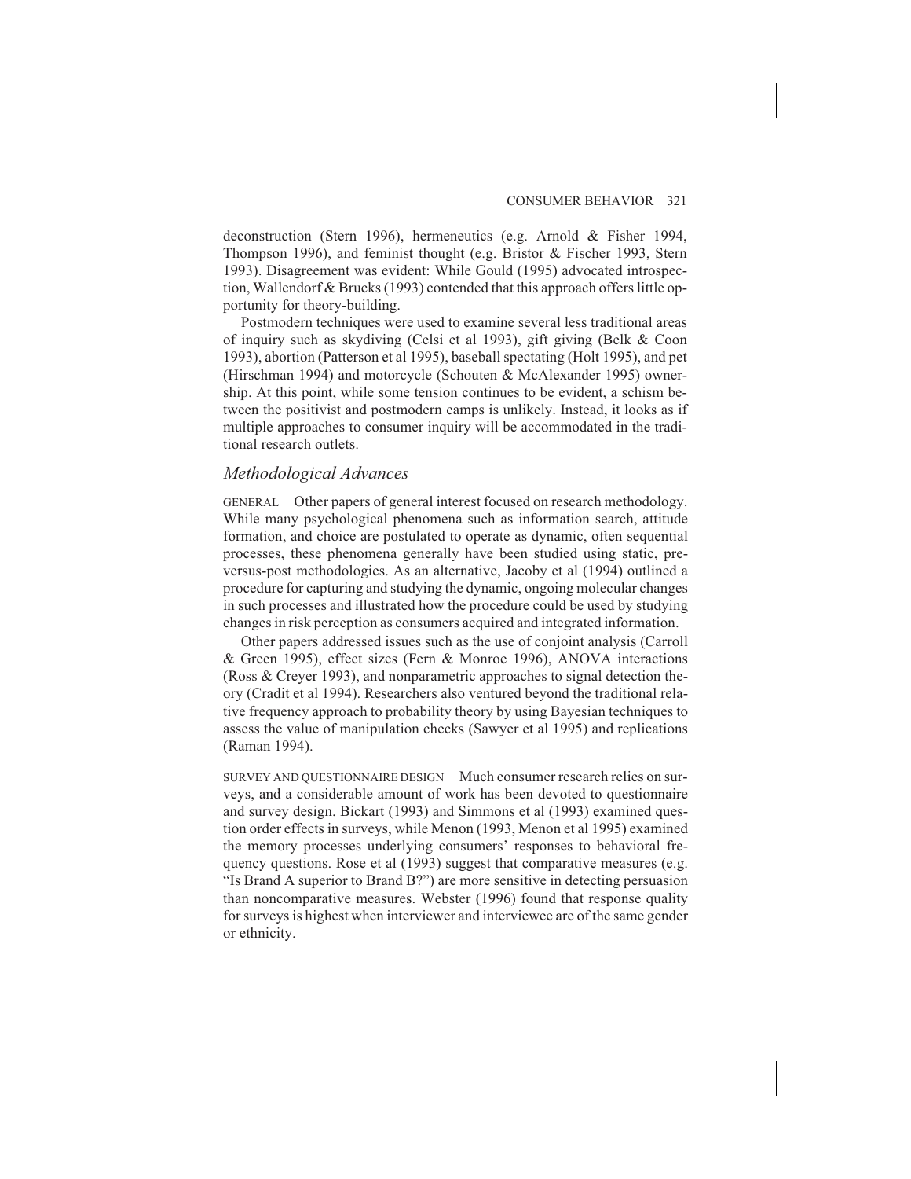deconstruction (Stern 1996), hermeneutics (e.g. Arnold & Fisher 1994, Thompson 1996), and feminist thought (e.g. Bristor & Fischer 1993, Stern 1993). Disagreement was evident: While Gould (1995) advocated introspection, Wallendorf & Brucks (1993) contended that this approach offers little opportunity for theory-building.

Postmodern techniques were used to examine several less traditional areas of inquiry such as skydiving (Celsi et al 1993), gift giving (Belk & Coon 1993), abortion (Patterson et al 1995), baseball spectating (Holt 1995), and pet (Hirschman 1994) and motorcycle (Schouten & McAlexander 1995) ownership. At this point, while some tension continues to be evident, a schism between the positivist and postmodern camps is unlikely. Instead, it looks as if multiple approaches to consumer inquiry will be accommodated in the traditional research outlets.

## *Methodological Advances*

GENERAL Other papers of general interest focused on research methodology. While many psychological phenomena such as information search, attitude formation, and choice are postulated to operate as dynamic, often sequential processes, these phenomena generally have been studied using static, preversus-post methodologies. As an alternative, Jacoby et al (1994) outlined a procedure for capturing and studying the dynamic, ongoing molecular changes in such processes and illustrated how the procedure could be used by studying changes in risk perception as consumers acquired and integrated information.

Other papers addressed issues such as the use of conjoint analysis (Carroll & Green 1995), effect sizes (Fern & Monroe 1996), ANOVA interactions (Ross & Creyer 1993), and nonparametric approaches to signal detection theory (Cradit et al 1994). Researchers also ventured beyond the traditional relative frequency approach to probability theory by using Bayesian techniques to assess the value of manipulation checks (Sawyer et al 1995) and replications (Raman 1994).

SURVEY AND QUESTIONNAIRE DESIGN Much consumer research relies on surveys, and a considerable amount of work has been devoted to questionnaire and survey design. Bickart (1993) and Simmons et al (1993) examined question order effects in surveys, while Menon (1993, Menon et al 1995) examined the memory processes underlying consumers' responses to behavioral frequency questions. Rose et al (1993) suggest that comparative measures (e.g. "Is Brand A superior to Brand B?") are more sensitive in detecting persuasion than noncomparative measures. Webster (1996) found that response quality for surveys is highest when interviewer and interviewee are of the same gender or ethnicity.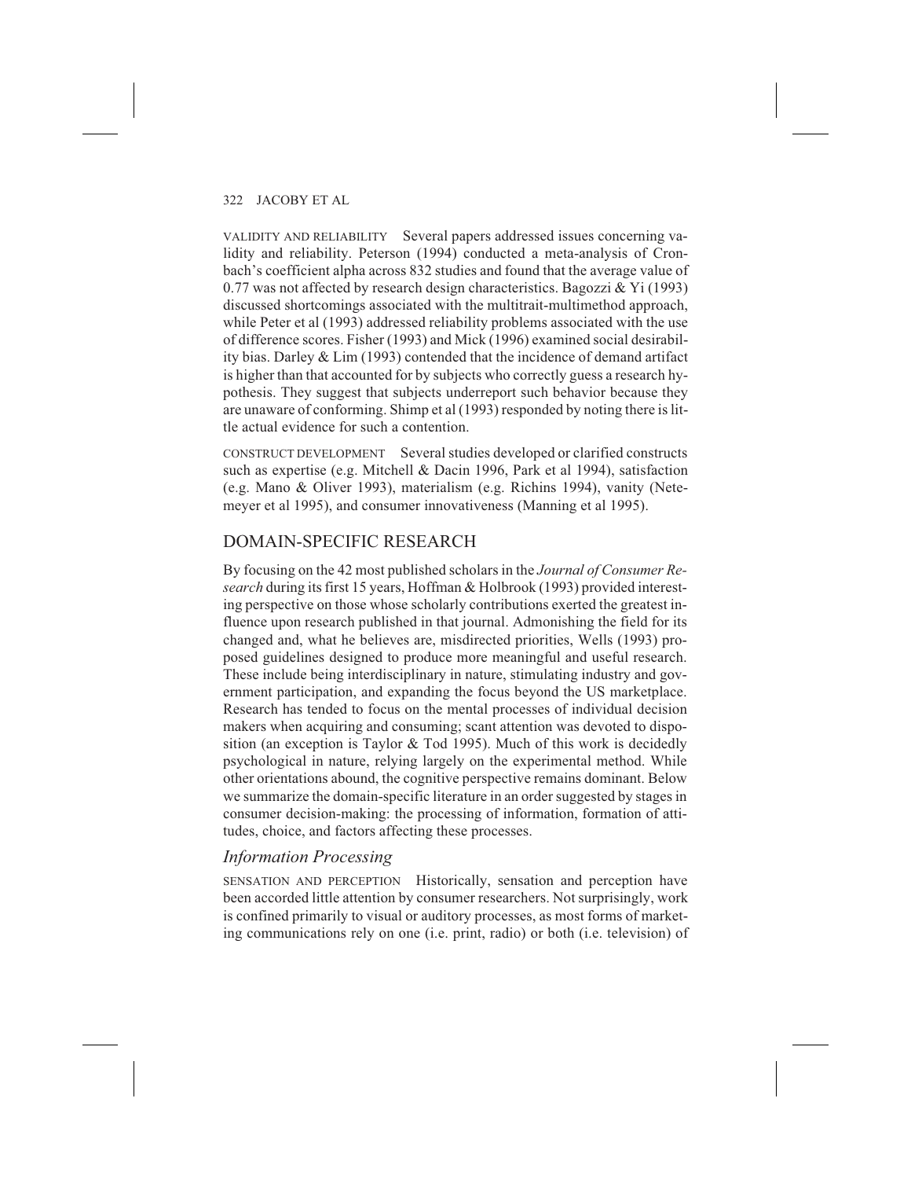VALIDITY AND RELIABILITY Several papers addressed issues concerning validity and reliability. Peterson (1994) conducted a meta-analysis of Cronbach's coefficient alpha across 832 studies and found that the average value of 0.77 was not affected by research design characteristics. Bagozzi & Yi (1993) discussed shortcomings associated with the multitrait-multimethod approach, while Peter et al (1993) addressed reliability problems associated with the use of difference scores. Fisher (1993) and Mick (1996) examined social desirability bias. Darley & Lim (1993) contended that the incidence of demand artifact is higher than that accounted for by subjects who correctly guess a research hypothesis. They suggest that subjects underreport such behavior because they are unaware of conforming. Shimp et al (1993) responded by noting there is little actual evidence for such a contention.

CONSTRUCT DEVELOPMENT Several studies developed or clarified constructs such as expertise (e.g. Mitchell & Dacin 1996, Park et al 1994), satisfaction (e.g. Mano & Oliver 1993), materialism (e.g. Richins 1994), vanity (Netemeyer et al 1995), and consumer innovativeness (Manning et al 1995).

# DOMAIN-SPECIFIC RESEARCH

By focusing on the 42 most published scholars in the *Journal of Consumer Research* during its first 15 years, Hoffman & Holbrook (1993) provided interesting perspective on those whose scholarly contributions exerted the greatest influence upon research published in that journal. Admonishing the field for its changed and, what he believes are, misdirected priorities, Wells (1993) proposed guidelines designed to produce more meaningful and useful research. These include being interdisciplinary in nature, stimulating industry and government participation, and expanding the focus beyond the US marketplace. Research has tended to focus on the mental processes of individual decision makers when acquiring and consuming; scant attention was devoted to disposition (an exception is Taylor & Tod 1995). Much of this work is decidedly psychological in nature, relying largely on the experimental method. While other orientations abound, the cognitive perspective remains dominant. Below we summarize the domain-specific literature in an order suggested by stages in consumer decision-making: the processing of information, formation of attitudes, choice, and factors affecting these processes.

## *Information Processing*

SENSATION AND PERCEPTION Historically, sensation and perception have been accorded little attention by consumer researchers. Not surprisingly, work is confined primarily to visual or auditory processes, as most forms of marketing communications rely on one (i.e. print, radio) or both (i.e. television) of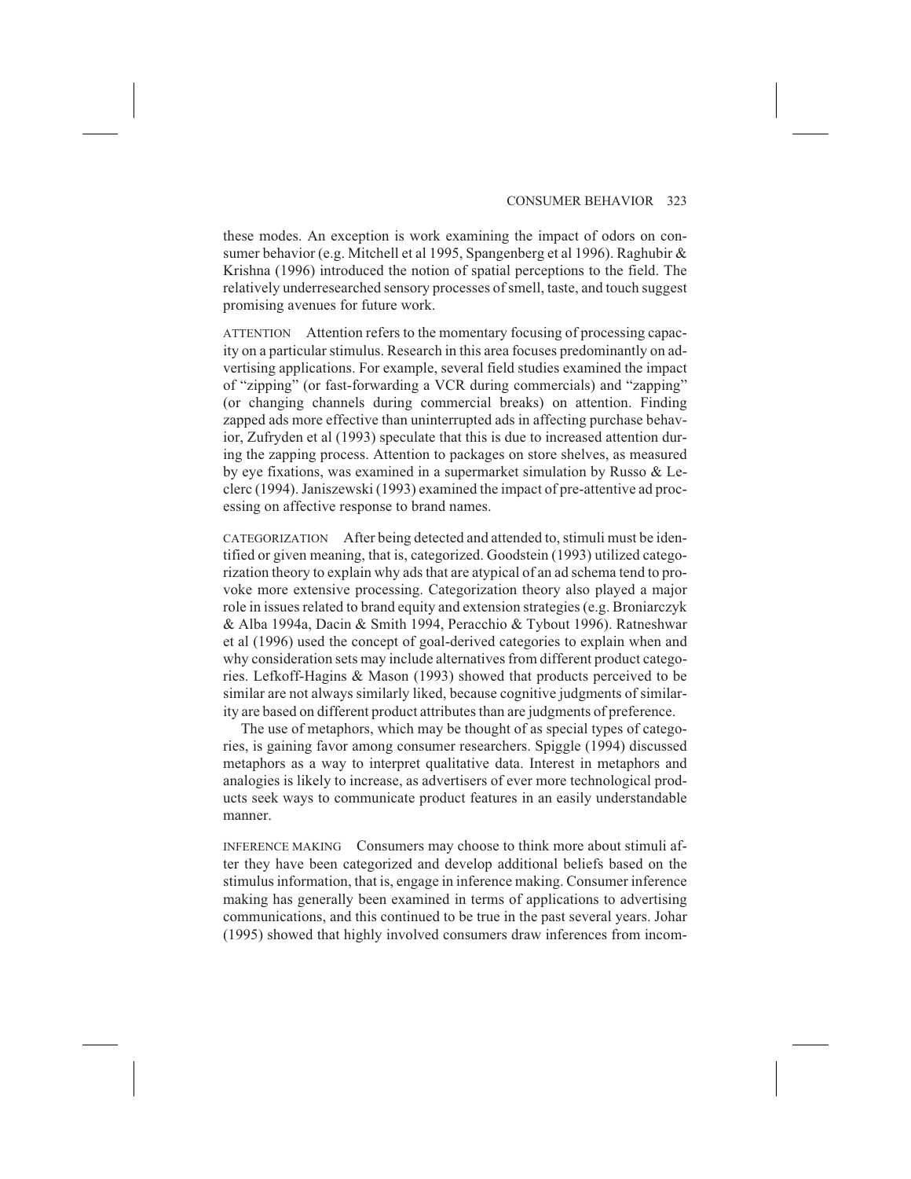these modes. An exception is work examining the impact of odors on consumer behavior (e.g. Mitchell et al 1995, Spangenberg et al 1996). Raghubir & Krishna (1996) introduced the notion of spatial perceptions to the field. The relatively underresearched sensory processes of smell, taste, and touch suggest promising avenues for future work.

ATTENTION Attention refers to the momentary focusing of processing capacity on a particular stimulus. Research in this area focuses predominantly on advertising applications. For example, several field studies examined the impact of "zipping" (or fast-forwarding a VCR during commercials) and "zapping" (or changing channels during commercial breaks) on attention. Finding zapped ads more effective than uninterrupted ads in affecting purchase behavior, Zufryden et al (1993) speculate that this is due to increased attention during the zapping process. Attention to packages on store shelves, as measured by eye fixations, was examined in a supermarket simulation by Russo & Leclerc (1994). Janiszewski (1993) examined the impact of pre-attentive ad processing on affective response to brand names.

CATEGORIZATION After being detected and attended to, stimuli must be identified or given meaning, that is, categorized. Goodstein (1993) utilized categorization theory to explain why ads that are atypical of an ad schema tend to provoke more extensive processing. Categorization theory also played a major role in issues related to brand equity and extension strategies (e.g. Broniarczyk & Alba 1994a, Dacin & Smith 1994, Peracchio & Tybout 1996). Ratneshwar et al (1996) used the concept of goal-derived categories to explain when and why consideration sets may include alternatives from different product categories. Lefkoff-Hagins & Mason (1993) showed that products perceived to be similar are not always similarly liked, because cognitive judgments of similarity are based on different product attributes than are judgments of preference.

The use of metaphors, which may be thought of as special types of categories, is gaining favor among consumer researchers. Spiggle (1994) discussed metaphors as a way to interpret qualitative data. Interest in metaphors and analogies is likely to increase, as advertisers of ever more technological products seek ways to communicate product features in an easily understandable manner.

INFERENCE MAKING Consumers may choose to think more about stimuli after they have been categorized and develop additional beliefs based on the stimulus information, that is, engage in inference making. Consumer inference making has generally been examined in terms of applications to advertising communications, and this continued to be true in the past several years. Johar (1995) showed that highly involved consumers draw inferences from incom-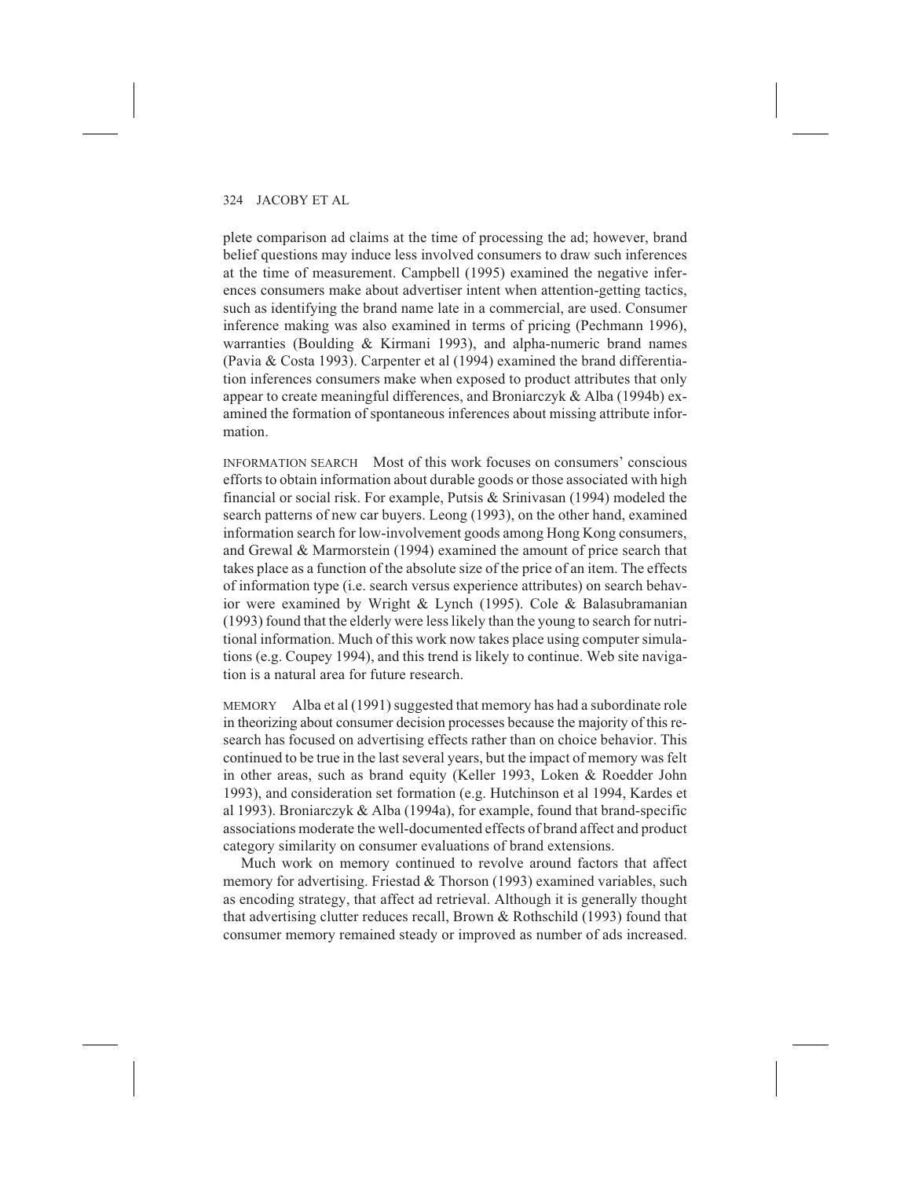plete comparison ad claims at the time of processing the ad; however, brand belief questions may induce less involved consumers to draw such inferences at the time of measurement. Campbell (1995) examined the negative inferences consumers make about advertiser intent when attention-getting tactics, such as identifying the brand name late in a commercial, are used. Consumer inference making was also examined in terms of pricing (Pechmann 1996), warranties (Boulding & Kirmani 1993), and alpha-numeric brand names (Pavia & Costa 1993). Carpenter et al (1994) examined the brand differentiation inferences consumers make when exposed to product attributes that only appear to create meaningful differences, and Broniarczyk & Alba (1994b) examined the formation of spontaneous inferences about missing attribute information.

INFORMATION SEARCH Most of this work focuses on consumers' conscious efforts to obtain information about durable goods or those associated with high financial or social risk. For example, Putsis & Srinivasan (1994) modeled the search patterns of new car buyers. Leong (1993), on the other hand, examined information search for low-involvement goods among Hong Kong consumers, and Grewal & Marmorstein (1994) examined the amount of price search that takes place as a function of the absolute size of the price of an item. The effects of information type (i.e. search versus experience attributes) on search behavior were examined by Wright & Lynch (1995). Cole & Balasubramanian (1993) found that the elderly were less likely than the young to search for nutritional information. Much of this work now takes place using computer simulations (e.g. Coupey 1994), and this trend is likely to continue. Web site navigation is a natural area for future research.

MEMORY Alba et al (1991) suggested that memory has had a subordinate role in theorizing about consumer decision processes because the majority of this research has focused on advertising effects rather than on choice behavior. This continued to be true in the last several years, but the impact of memory was felt in other areas, such as brand equity (Keller 1993, Loken & Roedder John 1993), and consideration set formation (e.g. Hutchinson et al 1994, Kardes et al 1993). Broniarczyk & Alba (1994a), for example, found that brand-specific associations moderate the well-documented effects of brand affect and product category similarity on consumer evaluations of brand extensions.

Much work on memory continued to revolve around factors that affect memory for advertising. Friestad  $&$  Thorson (1993) examined variables, such as encoding strategy, that affect ad retrieval. Although it is generally thought that advertising clutter reduces recall, Brown & Rothschild (1993) found that consumer memory remained steady or improved as number of ads increased.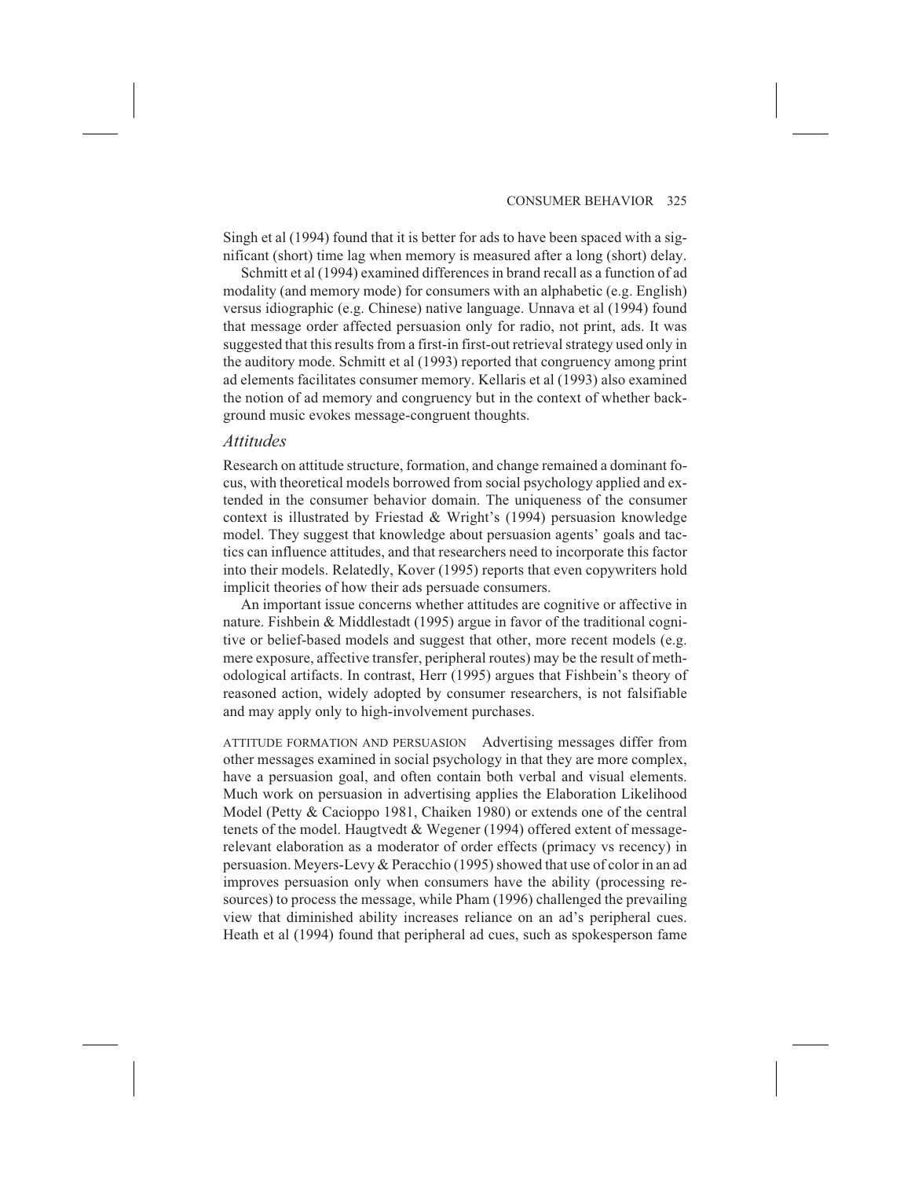Singh et al (1994) found that it is better for ads to have been spaced with a significant (short) time lag when memory is measured after a long (short) delay.

Schmitt et al (1994) examined differences in brand recall as a function of ad modality (and memory mode) for consumers with an alphabetic (e.g. English) versus idiographic (e.g. Chinese) native language. Unnava et al (1994) found that message order affected persuasion only for radio, not print, ads. It was suggested that this results from a first-in first-out retrieval strategy used only in the auditory mode. Schmitt et al (1993) reported that congruency among print ad elements facilitates consumer memory. Kellaris et al (1993) also examined the notion of ad memory and congruency but in the context of whether background music evokes message-congruent thoughts.

## *Attitudes*

Research on attitude structure, formation, and change remained a dominant focus, with theoretical models borrowed from social psychology applied and extended in the consumer behavior domain. The uniqueness of the consumer context is illustrated by Friestad & Wright's (1994) persuasion knowledge model. They suggest that knowledge about persuasion agents' goals and tactics can influence attitudes, and that researchers need to incorporate this factor into their models. Relatedly, Kover (1995) reports that even copywriters hold implicit theories of how their ads persuade consumers.

An important issue concerns whether attitudes are cognitive or affective in nature. Fishbein & Middlestadt (1995) argue in favor of the traditional cognitive or belief-based models and suggest that other, more recent models (e.g. mere exposure, affective transfer, peripheral routes) may be the result of methodological artifacts. In contrast, Herr (1995) argues that Fishbein's theory of reasoned action, widely adopted by consumer researchers, is not falsifiable and may apply only to high-involvement purchases.

ATTITUDE FORMATION AND PERSUASION Advertising messages differ from other messages examined in social psychology in that they are more complex, have a persuasion goal, and often contain both verbal and visual elements. Much work on persuasion in advertising applies the Elaboration Likelihood Model (Petty & Cacioppo 1981, Chaiken 1980) or extends one of the central tenets of the model. Haugtvedt & Wegener (1994) offered extent of messagerelevant elaboration as a moderator of order effects (primacy vs recency) in persuasion. Meyers-Levy & Peracchio (1995) showed that use of color in an ad improves persuasion only when consumers have the ability (processing resources) to process the message, while Pham (1996) challenged the prevailing view that diminished ability increases reliance on an ad's peripheral cues. Heath et al (1994) found that peripheral ad cues, such as spokesperson fame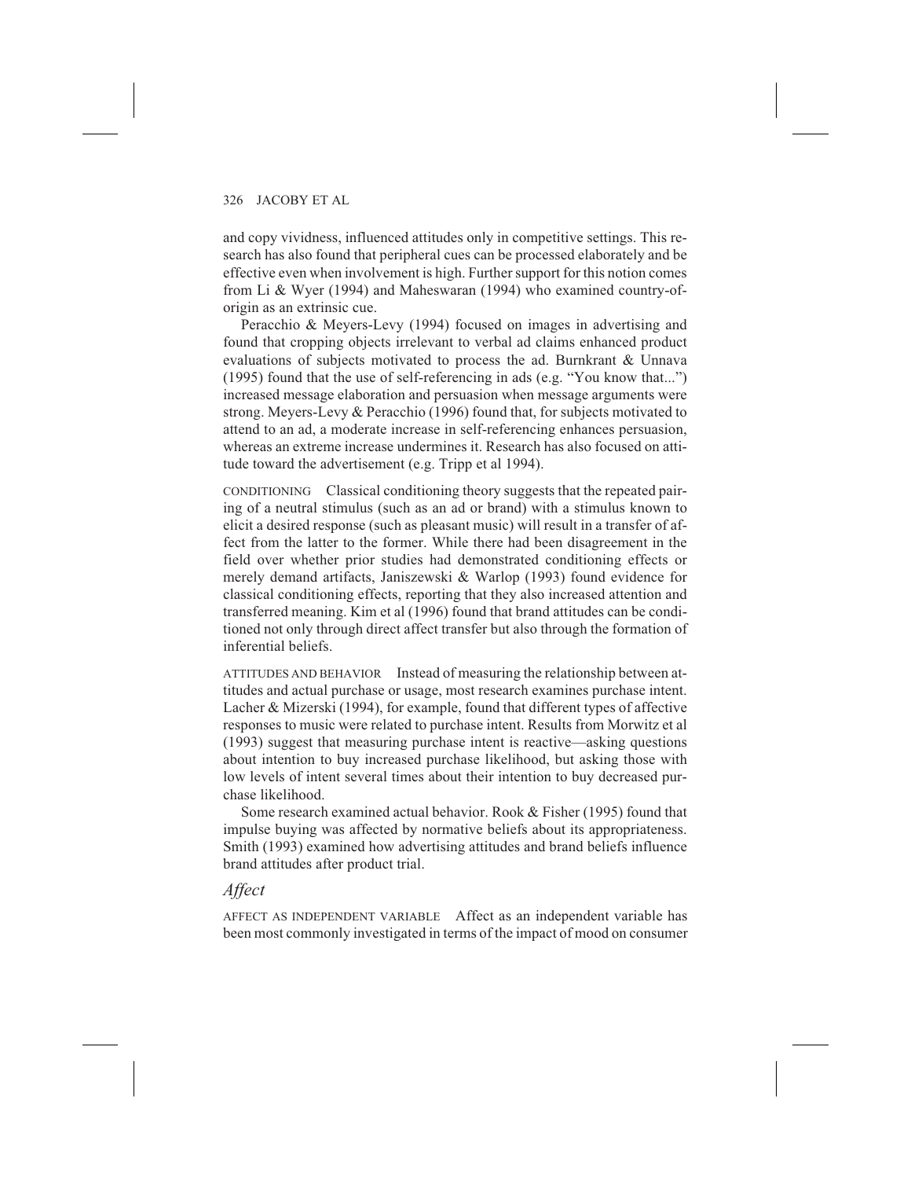and copy vividness, influenced attitudes only in competitive settings. This research has also found that peripheral cues can be processed elaborately and be effective even when involvement is high. Further support for this notion comes from Li & Wyer (1994) and Maheswaran (1994) who examined country-oforigin as an extrinsic cue.

Peracchio & Meyers-Levy (1994) focused on images in advertising and found that cropping objects irrelevant to verbal ad claims enhanced product evaluations of subjects motivated to process the ad. Burnkrant & Unnava (1995) found that the use of self-referencing in ads (e.g. "You know that...") increased message elaboration and persuasion when message arguments were strong. Meyers-Levy & Peracchio (1996) found that, for subjects motivated to attend to an ad, a moderate increase in self-referencing enhances persuasion, whereas an extreme increase undermines it. Research has also focused on attitude toward the advertisement (e.g. Tripp et al 1994).

CONDITIONING Classical conditioning theory suggests that the repeated pairing of a neutral stimulus (such as an ad or brand) with a stimulus known to elicit a desired response (such as pleasant music) will result in a transfer of affect from the latter to the former. While there had been disagreement in the field over whether prior studies had demonstrated conditioning effects or merely demand artifacts, Janiszewski & Warlop (1993) found evidence for classical conditioning effects, reporting that they also increased attention and transferred meaning. Kim et al (1996) found that brand attitudes can be conditioned not only through direct affect transfer but also through the formation of inferential beliefs.

ATTITUDES AND BEHAVIOR Instead of measuring the relationship between attitudes and actual purchase or usage, most research examines purchase intent. Lacher & Mizerski (1994), for example, found that different types of affective responses to music were related to purchase intent. Results from Morwitz et al (1993) suggest that measuring purchase intent is reactive—asking questions about intention to buy increased purchase likelihood, but asking those with low levels of intent several times about their intention to buy decreased purchase likelihood.

Some research examined actual behavior. Rook & Fisher (1995) found that impulse buying was affected by normative beliefs about its appropriateness. Smith (1993) examined how advertising attitudes and brand beliefs influence brand attitudes after product trial.

## *Affect*

AFFECT AS INDEPENDENT VARIABLE Affect as an independent variable has been most commonly investigated in terms of the impact of mood on consumer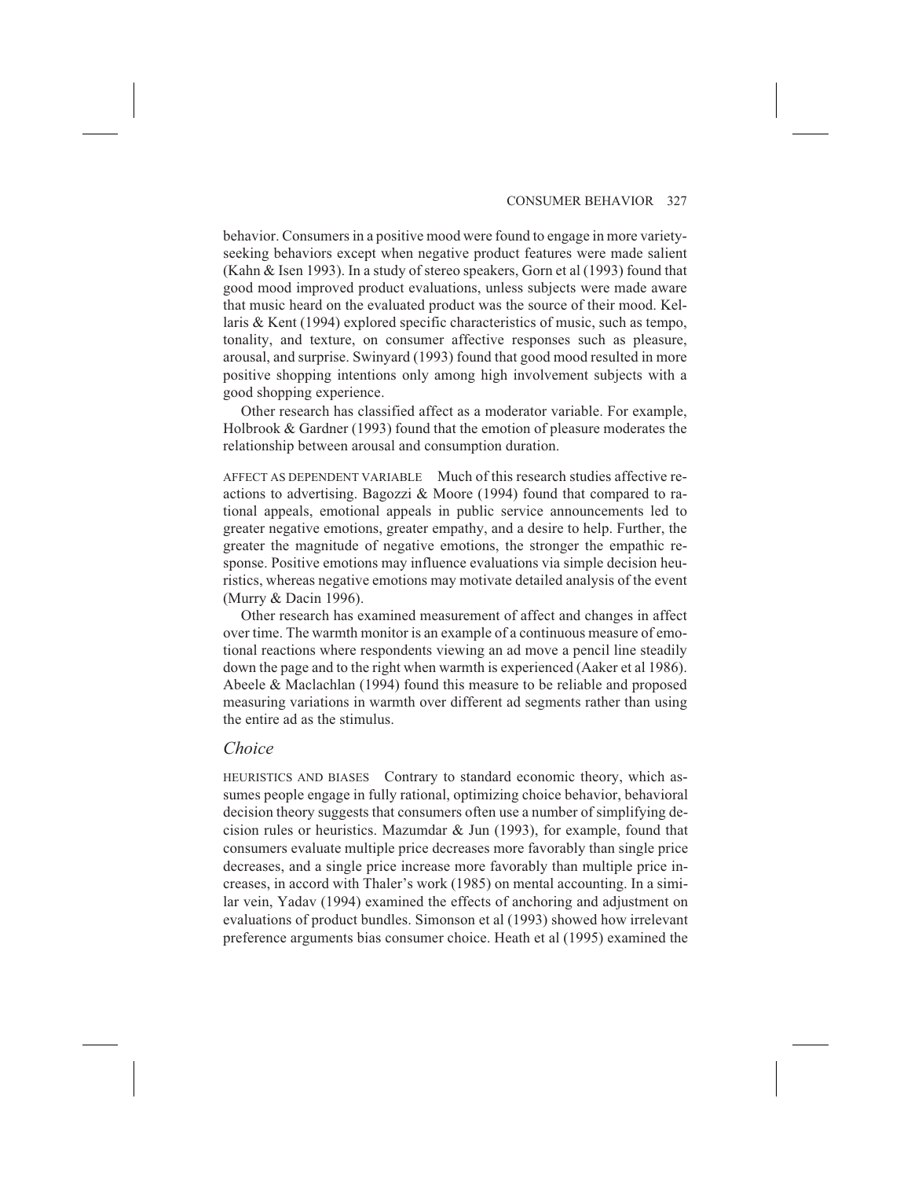behavior. Consumers in a positive mood were found to engage in more varietyseeking behaviors except when negative product features were made salient (Kahn & Isen 1993). In a study of stereo speakers, Gorn et al (1993) found that good mood improved product evaluations, unless subjects were made aware that music heard on the evaluated product was the source of their mood. Kellaris & Kent (1994) explored specific characteristics of music, such as tempo, tonality, and texture, on consumer affective responses such as pleasure, arousal, and surprise. Swinyard (1993) found that good mood resulted in more positive shopping intentions only among high involvement subjects with a good shopping experience.

Other research has classified affect as a moderator variable. For example, Holbrook & Gardner (1993) found that the emotion of pleasure moderates the relationship between arousal and consumption duration.

AFFECT AS DEPENDENT VARIABLE Much of this research studies affective reactions to advertising. Bagozzi & Moore (1994) found that compared to rational appeals, emotional appeals in public service announcements led to greater negative emotions, greater empathy, and a desire to help. Further, the greater the magnitude of negative emotions, the stronger the empathic response. Positive emotions may influence evaluations via simple decision heuristics, whereas negative emotions may motivate detailed analysis of the event (Murry & Dacin 1996).

Other research has examined measurement of affect and changes in affect over time. The warmth monitor is an example of a continuous measure of emotional reactions where respondents viewing an ad move a pencil line steadily down the page and to the right when warmth is experienced (Aaker et al 1986). Abeele & Maclachlan (1994) found this measure to be reliable and proposed measuring variations in warmth over different ad segments rather than using the entire ad as the stimulus.

### *Choice*

HEURISTICS AND BIASES Contrary to standard economic theory, which assumes people engage in fully rational, optimizing choice behavior, behavioral decision theory suggests that consumers often use a number of simplifying decision rules or heuristics. Mazumdar & Jun (1993), for example, found that consumers evaluate multiple price decreases more favorably than single price decreases, and a single price increase more favorably than multiple price increases, in accord with Thaler's work (1985) on mental accounting. In a similar vein, Yadav (1994) examined the effects of anchoring and adjustment on evaluations of product bundles. Simonson et al (1993) showed how irrelevant preference arguments bias consumer choice. Heath et al (1995) examined the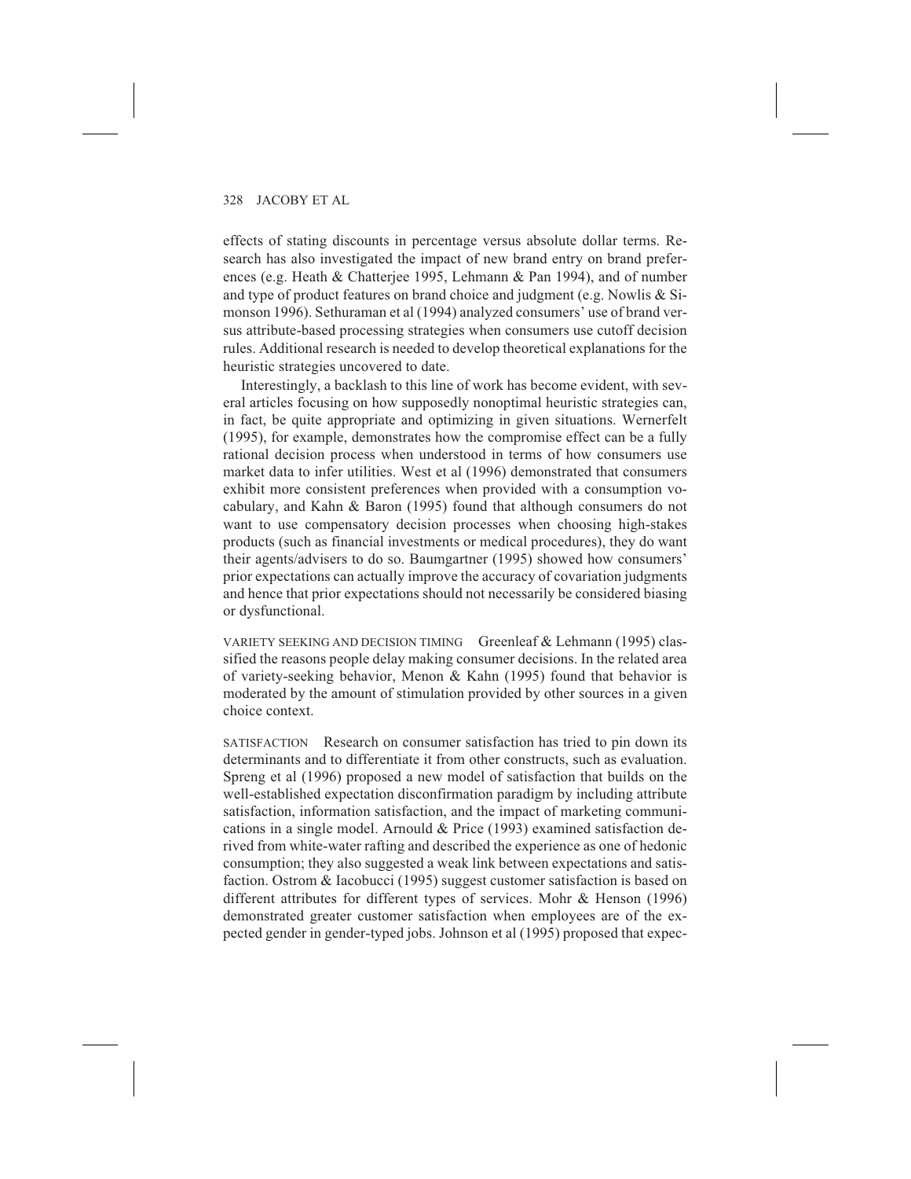effects of stating discounts in percentage versus absolute dollar terms. Research has also investigated the impact of new brand entry on brand preferences (e.g. Heath & Chatterjee 1995, Lehmann & Pan 1994), and of number and type of product features on brand choice and judgment (e.g. Nowlis & Simonson 1996). Sethuraman et al (1994) analyzed consumers' use of brand versus attribute-based processing strategies when consumers use cutoff decision rules. Additional research is needed to develop theoretical explanations for the heuristic strategies uncovered to date.

Interestingly, a backlash to this line of work has become evident, with several articles focusing on how supposedly nonoptimal heuristic strategies can, in fact, be quite appropriate and optimizing in given situations. Wernerfelt (1995), for example, demonstrates how the compromise effect can be a fully rational decision process when understood in terms of how consumers use market data to infer utilities. West et al (1996) demonstrated that consumers exhibit more consistent preferences when provided with a consumption vocabulary, and Kahn & Baron (1995) found that although consumers do not want to use compensatory decision processes when choosing high-stakes products (such as financial investments or medical procedures), they do want their agents/advisers to do so. Baumgartner (1995) showed how consumers' prior expectations can actually improve the accuracy of covariation judgments and hence that prior expectations should not necessarily be considered biasing or dysfunctional.

VARIETY SEEKING AND DECISION TIMING Greenleaf & Lehmann (1995) classified the reasons people delay making consumer decisions. In the related area of variety-seeking behavior, Menon & Kahn (1995) found that behavior is moderated by the amount of stimulation provided by other sources in a given choice context.

SATISFACTION Research on consumer satisfaction has tried to pin down its determinants and to differentiate it from other constructs, such as evaluation. Spreng et al (1996) proposed a new model of satisfaction that builds on the well-established expectation disconfirmation paradigm by including attribute satisfaction, information satisfaction, and the impact of marketing communications in a single model. Arnould & Price (1993) examined satisfaction derived from white-water rafting and described the experience as one of hedonic consumption; they also suggested a weak link between expectations and satisfaction. Ostrom & Iacobucci (1995) suggest customer satisfaction is based on different attributes for different types of services. Mohr & Henson (1996) demonstrated greater customer satisfaction when employees are of the expected gender in gender-typed jobs. Johnson et al (1995) proposed that expec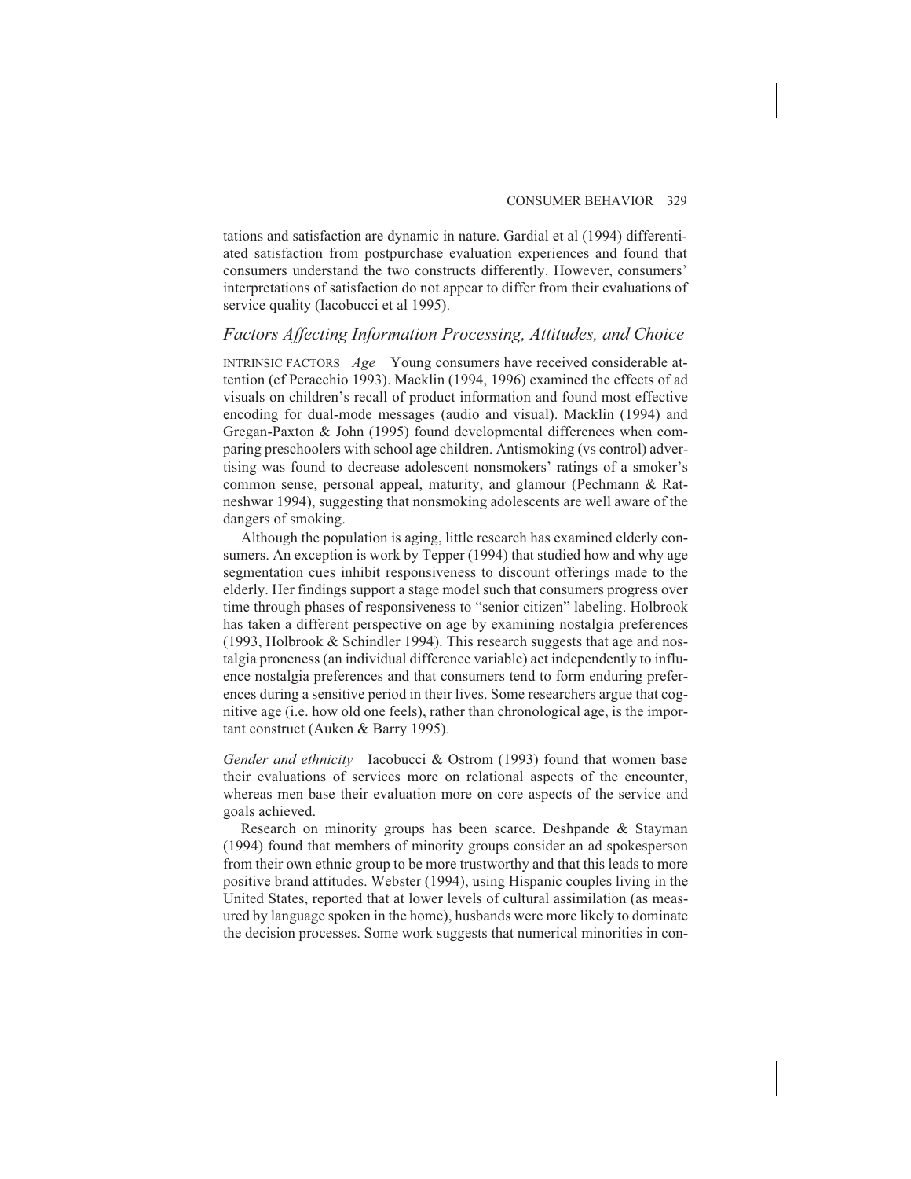tations and satisfaction are dynamic in nature. Gardial et al (1994) differentiated satisfaction from postpurchase evaluation experiences and found that consumers understand the two constructs differently. However, consumers' interpretations of satisfaction do not appear to differ from their evaluations of service quality (Iacobucci et al 1995).

## *Factors Affecting Information Processing, Attitudes, and Choice*

INTRINSIC FACTORS *Age* Young consumers have received considerable attention (cf Peracchio 1993). Macklin (1994, 1996) examined the effects of ad visuals on children's recall of product information and found most effective encoding for dual-mode messages (audio and visual). Macklin (1994) and Gregan-Paxton & John (1995) found developmental differences when comparing preschoolers with school age children. Antismoking (vs control) advertising was found to decrease adolescent nonsmokers' ratings of a smoker's common sense, personal appeal, maturity, and glamour (Pechmann & Ratneshwar 1994), suggesting that nonsmoking adolescents are well aware of the dangers of smoking.

Although the population is aging, little research has examined elderly consumers. An exception is work by Tepper (1994) that studied how and why age segmentation cues inhibit responsiveness to discount offerings made to the elderly. Her findings support a stage model such that consumers progress over time through phases of responsiveness to "senior citizen" labeling. Holbrook has taken a different perspective on age by examining nostalgia preferences (1993, Holbrook & Schindler 1994). This research suggests that age and nostalgia proneness (an individual difference variable) act independently to influence nostalgia preferences and that consumers tend to form enduring preferences during a sensitive period in their lives. Some researchers argue that cognitive age (i.e. how old one feels), rather than chronological age, is the important construct (Auken & Barry 1995).

*Gender and ethnicity* Iacobucci & Ostrom (1993) found that women base their evaluations of services more on relational aspects of the encounter, whereas men base their evaluation more on core aspects of the service and goals achieved.

Research on minority groups has been scarce. Deshpande & Stayman (1994) found that members of minority groups consider an ad spokesperson from their own ethnic group to be more trustworthy and that this leads to more positive brand attitudes. Webster (1994), using Hispanic couples living in the United States, reported that at lower levels of cultural assimilation (as measured by language spoken in the home), husbands were more likely to dominate the decision processes. Some work suggests that numerical minorities in con-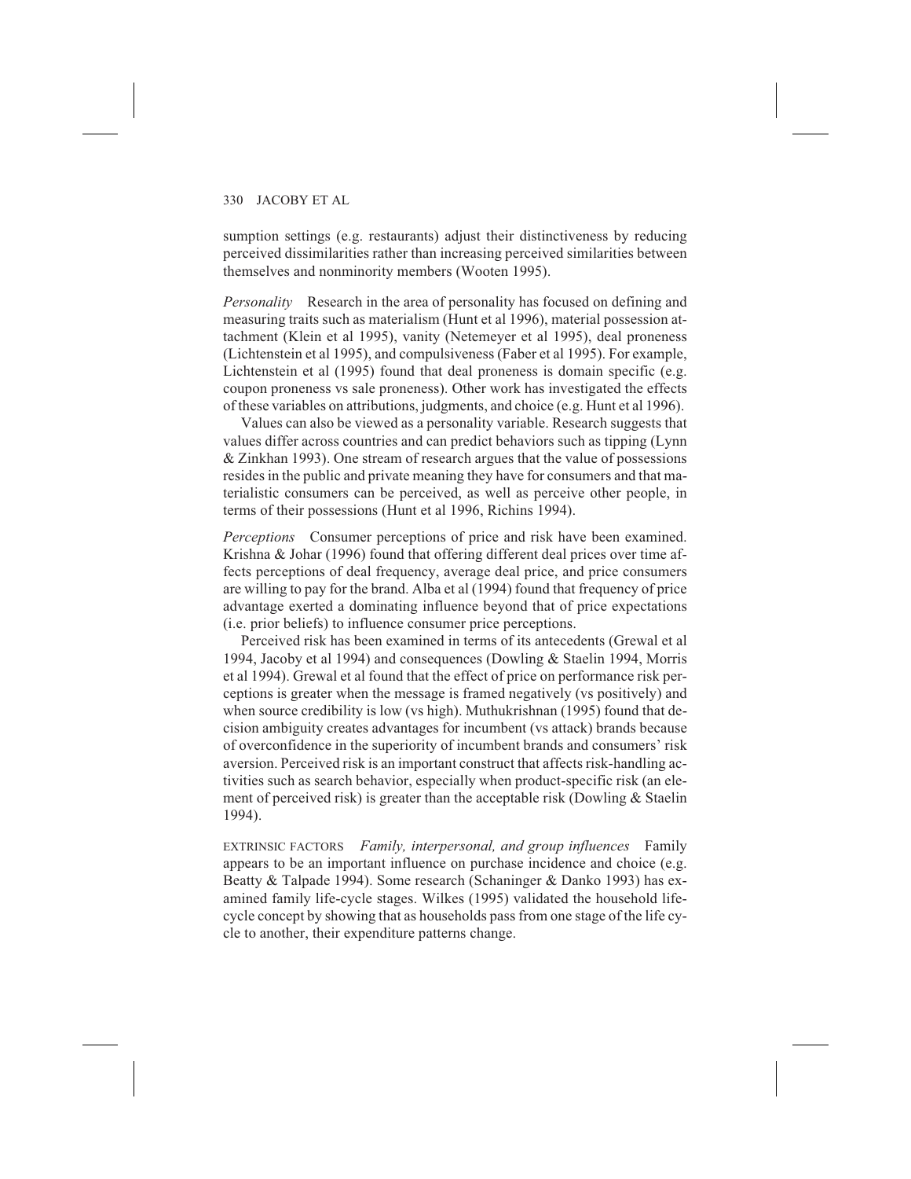sumption settings (e.g. restaurants) adjust their distinctiveness by reducing perceived dissimilarities rather than increasing perceived similarities between themselves and nonminority members (Wooten 1995).

*Personality* Research in the area of personality has focused on defining and measuring traits such as materialism (Hunt et al 1996), material possession attachment (Klein et al 1995), vanity (Netemeyer et al 1995), deal proneness (Lichtenstein et al 1995), and compulsiveness (Faber et al 1995). For example, Lichtenstein et al (1995) found that deal proneness is domain specific (e.g. coupon proneness vs sale proneness). Other work has investigated the effects of these variables on attributions, judgments, and choice (e.g. Hunt et al 1996).

Values can also be viewed as a personality variable. Research suggests that values differ across countries and can predict behaviors such as tipping (Lynn & Zinkhan 1993). One stream of research argues that the value of possessions resides in the public and private meaning they have for consumers and that materialistic consumers can be perceived, as well as perceive other people, in terms of their possessions (Hunt et al 1996, Richins 1994).

*Perceptions* Consumer perceptions of price and risk have been examined. Krishna & Johar (1996) found that offering different deal prices over time affects perceptions of deal frequency, average deal price, and price consumers are willing to pay for the brand. Alba et al (1994) found that frequency of price advantage exerted a dominating influence beyond that of price expectations (i.e. prior beliefs) to influence consumer price perceptions.

Perceived risk has been examined in terms of its antecedents (Grewal et al 1994, Jacoby et al 1994) and consequences (Dowling & Staelin 1994, Morris et al 1994). Grewal et al found that the effect of price on performance risk perceptions is greater when the message is framed negatively (vs positively) and when source credibility is low (vs high). Muthukrishnan (1995) found that decision ambiguity creates advantages for incumbent (vs attack) brands because of overconfidence in the superiority of incumbent brands and consumers' risk aversion. Perceived risk is an important construct that affects risk-handling activities such as search behavior, especially when product-specific risk (an element of perceived risk) is greater than the acceptable risk (Dowling & Staelin 1994).

EXTRINSIC FACTORS *Family, interpersonal, and group influences* Family appears to be an important influence on purchase incidence and choice (e.g. Beatty & Talpade 1994). Some research (Schaninger & Danko 1993) has examined family life-cycle stages. Wilkes (1995) validated the household lifecycle concept by showing that as households pass from one stage of the life cycle to another, their expenditure patterns change.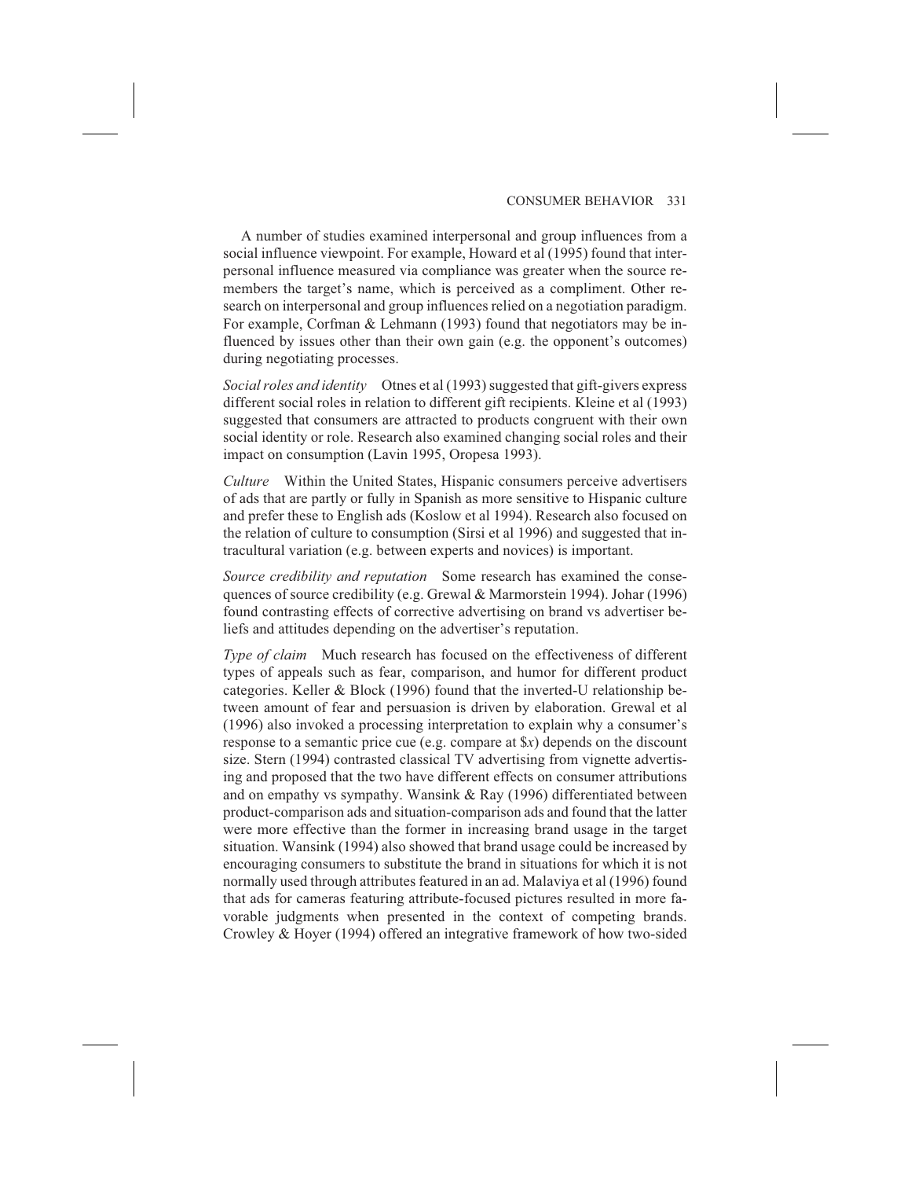A number of studies examined interpersonal and group influences from a social influence viewpoint. For example, Howard et al (1995) found that interpersonal influence measured via compliance was greater when the source remembers the target's name, which is perceived as a compliment. Other research on interpersonal and group influences relied on a negotiation paradigm. For example, Corfman & Lehmann (1993) found that negotiators may be influenced by issues other than their own gain (e.g. the opponent's outcomes) during negotiating processes.

*Social roles and identity* Otnes et al (1993) suggested that gift-givers express different social roles in relation to different gift recipients. Kleine et al (1993) suggested that consumers are attracted to products congruent with their own social identity or role. Research also examined changing social roles and their impact on consumption (Lavin 1995, Oropesa 1993).

*Culture* Within the United States, Hispanic consumers perceive advertisers of ads that are partly or fully in Spanish as more sensitive to Hispanic culture and prefer these to English ads (Koslow et al 1994). Research also focused on the relation of culture to consumption (Sirsi et al 1996) and suggested that intracultural variation (e.g. between experts and novices) is important.

*Source credibility and reputation* Some research has examined the consequences of source credibility (e.g. Grewal & Marmorstein 1994). Johar (1996) found contrasting effects of corrective advertising on brand vs advertiser beliefs and attitudes depending on the advertiser's reputation.

*Type of claim* Much research has focused on the effectiveness of different types of appeals such as fear, comparison, and humor for different product categories. Keller & Block (1996) found that the inverted-U relationship between amount of fear and persuasion is driven by elaboration. Grewal et al (1996) also invoked a processing interpretation to explain why a consumer's response to a semantic price cue (e.g. compare at \$*x*) depends on the discount size. Stern (1994) contrasted classical TV advertising from vignette advertising and proposed that the two have different effects on consumer attributions and on empathy vs sympathy. Wansink & Ray (1996) differentiated between product-comparison ads and situation-comparison ads and found that the latter were more effective than the former in increasing brand usage in the target situation. Wansink (1994) also showed that brand usage could be increased by encouraging consumers to substitute the brand in situations for which it is not normally used through attributes featured in an ad. Malaviya et al (1996) found that ads for cameras featuring attribute-focused pictures resulted in more favorable judgments when presented in the context of competing brands. Crowley & Hoyer (1994) offered an integrative framework of how two-sided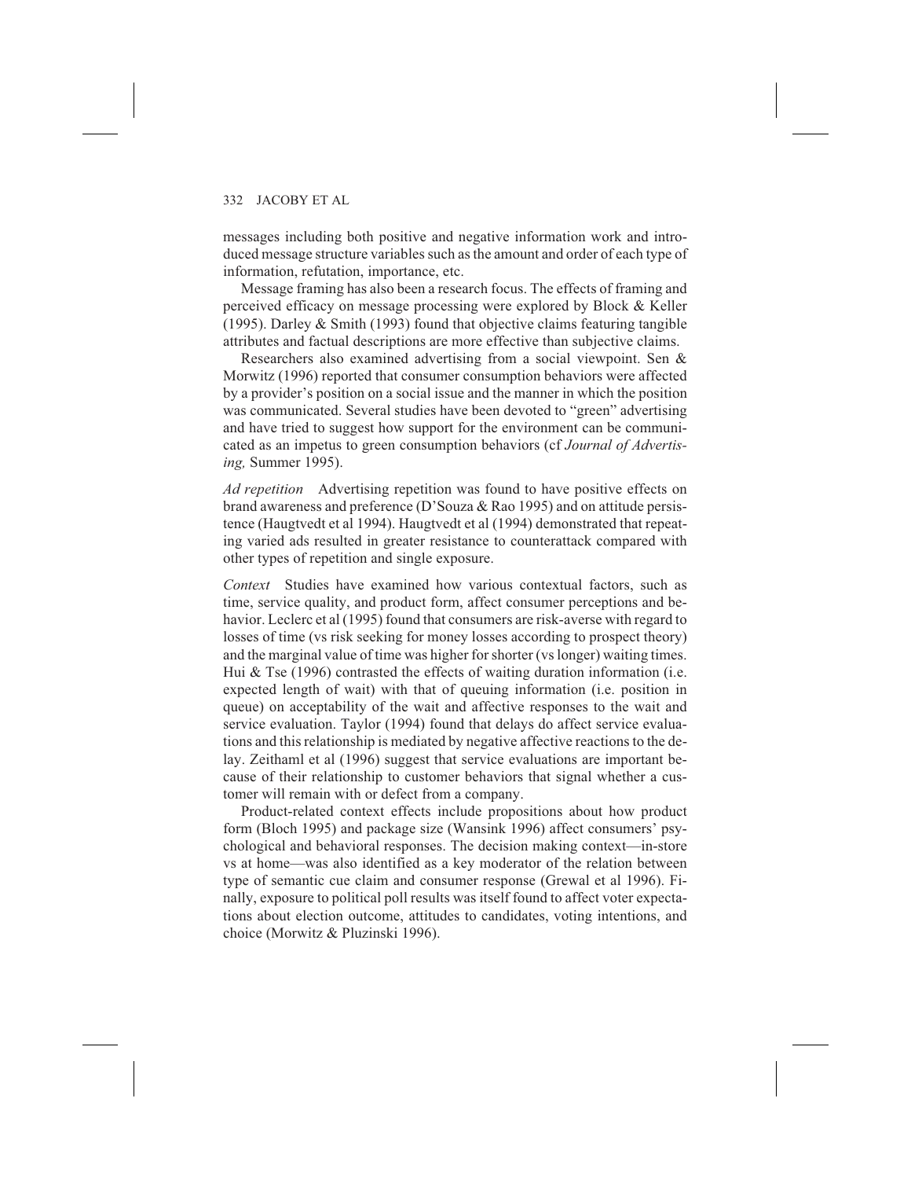messages including both positive and negative information work and introduced message structure variables such as the amount and order of each type of information, refutation, importance, etc.

Message framing has also been a research focus. The effects of framing and perceived efficacy on message processing were explored by Block & Keller (1995). Darley & Smith (1993) found that objective claims featuring tangible attributes and factual descriptions are more effective than subjective claims.

Researchers also examined advertising from a social viewpoint. Sen & Morwitz (1996) reported that consumer consumption behaviors were affected by a provider's position on a social issue and the manner in which the position was communicated. Several studies have been devoted to "green" advertising and have tried to suggest how support for the environment can be communicated as an impetus to green consumption behaviors (cf *Journal of Advertising,* Summer 1995).

*Ad repetition* Advertising repetition was found to have positive effects on brand awareness and preference (D'Souza & Rao 1995) and on attitude persistence (Haugtvedt et al 1994). Haugtvedt et al (1994) demonstrated that repeating varied ads resulted in greater resistance to counterattack compared with other types of repetition and single exposure.

*Context* Studies have examined how various contextual factors, such as time, service quality, and product form, affect consumer perceptions and behavior. Leclerc et al (1995) found that consumers are risk-averse with regard to losses of time (vs risk seeking for money losses according to prospect theory) and the marginal value of time was higher for shorter (vs longer) waiting times. Hui & Tse (1996) contrasted the effects of waiting duration information (i.e. expected length of wait) with that of queuing information (i.e. position in queue) on acceptability of the wait and affective responses to the wait and service evaluation. Taylor (1994) found that delays do affect service evaluations and this relationship is mediated by negative affective reactions to the delay. Zeithaml et al (1996) suggest that service evaluations are important because of their relationship to customer behaviors that signal whether a customer will remain with or defect from a company.

Product-related context effects include propositions about how product form (Bloch 1995) and package size (Wansink 1996) affect consumers' psychological and behavioral responses. The decision making context—in-store vs at home—was also identified as a key moderator of the relation between type of semantic cue claim and consumer response (Grewal et al 1996). Finally, exposure to political poll results was itself found to affect voter expectations about election outcome, attitudes to candidates, voting intentions, and choice (Morwitz & Pluzinski 1996).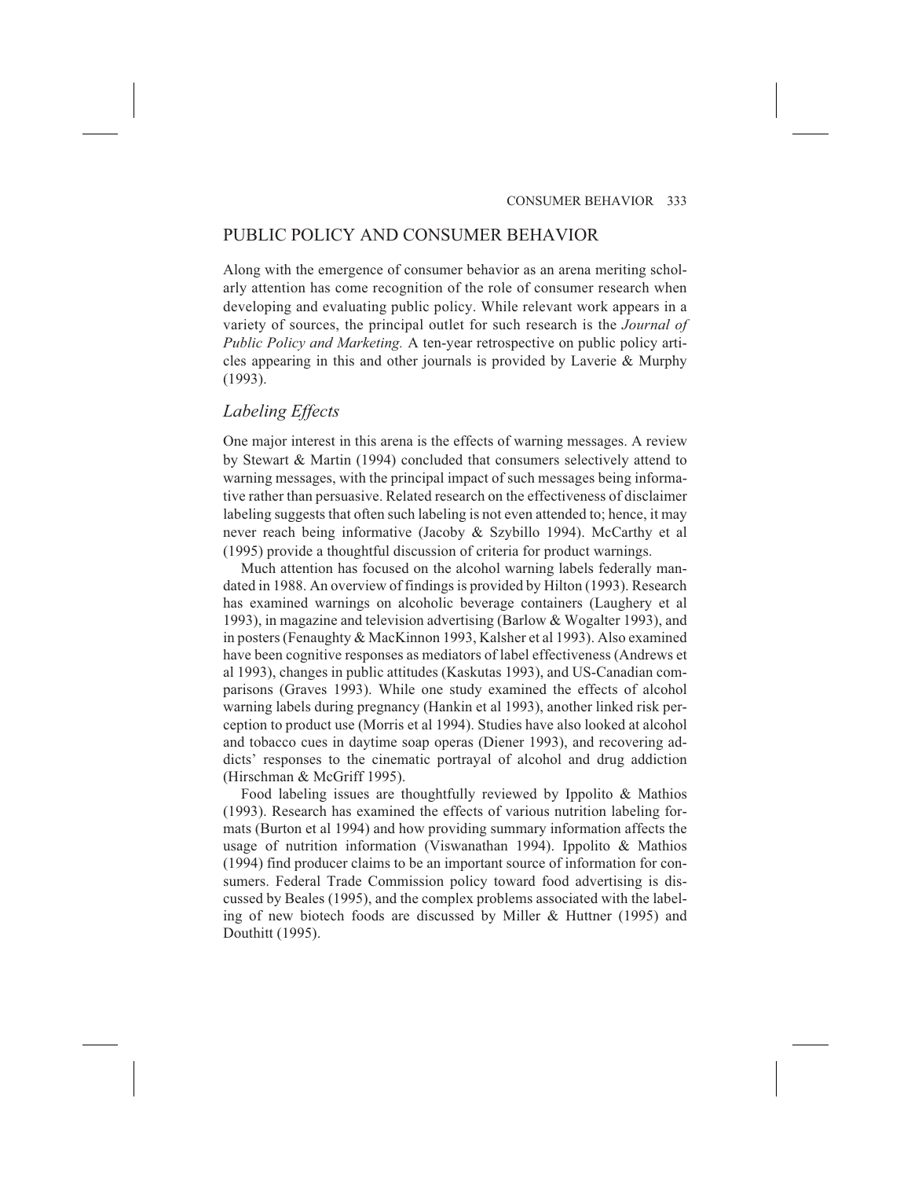## PUBLIC POLICY AND CONSUMER BEHAVIOR

Along with the emergence of consumer behavior as an arena meriting scholarly attention has come recognition of the role of consumer research when developing and evaluating public policy. While relevant work appears in a variety of sources, the principal outlet for such research is the *Journal of Public Policy and Marketing.* A ten-year retrospective on public policy articles appearing in this and other journals is provided by Laverie & Murphy (1993).

## *Labeling Effects*

One major interest in this arena is the effects of warning messages. A review by Stewart & Martin (1994) concluded that consumers selectively attend to warning messages, with the principal impact of such messages being informative rather than persuasive. Related research on the effectiveness of disclaimer labeling suggests that often such labeling is not even attended to; hence, it may never reach being informative (Jacoby & Szybillo 1994). McCarthy et al (1995) provide a thoughtful discussion of criteria for product warnings.

Much attention has focused on the alcohol warning labels federally mandated in 1988. An overview of findings is provided by Hilton (1993). Research has examined warnings on alcoholic beverage containers (Laughery et al 1993), in magazine and television advertising (Barlow & Wogalter 1993), and in posters (Fenaughty & MacKinnon 1993, Kalsher et al 1993). Also examined have been cognitive responses as mediators of label effectiveness (Andrews et al 1993), changes in public attitudes (Kaskutas 1993), and US-Canadian comparisons (Graves 1993). While one study examined the effects of alcohol warning labels during pregnancy (Hankin et al 1993), another linked risk perception to product use (Morris et al 1994). Studies have also looked at alcohol and tobacco cues in daytime soap operas (Diener 1993), and recovering addicts' responses to the cinematic portrayal of alcohol and drug addiction (Hirschman & McGriff 1995).

Food labeling issues are thoughtfully reviewed by Ippolito & Mathios (1993). Research has examined the effects of various nutrition labeling formats (Burton et al 1994) and how providing summary information affects the usage of nutrition information (Viswanathan 1994). Ippolito & Mathios (1994) find producer claims to be an important source of information for consumers. Federal Trade Commission policy toward food advertising is discussed by Beales (1995), and the complex problems associated with the labeling of new biotech foods are discussed by Miller & Huttner (1995) and Douthitt (1995).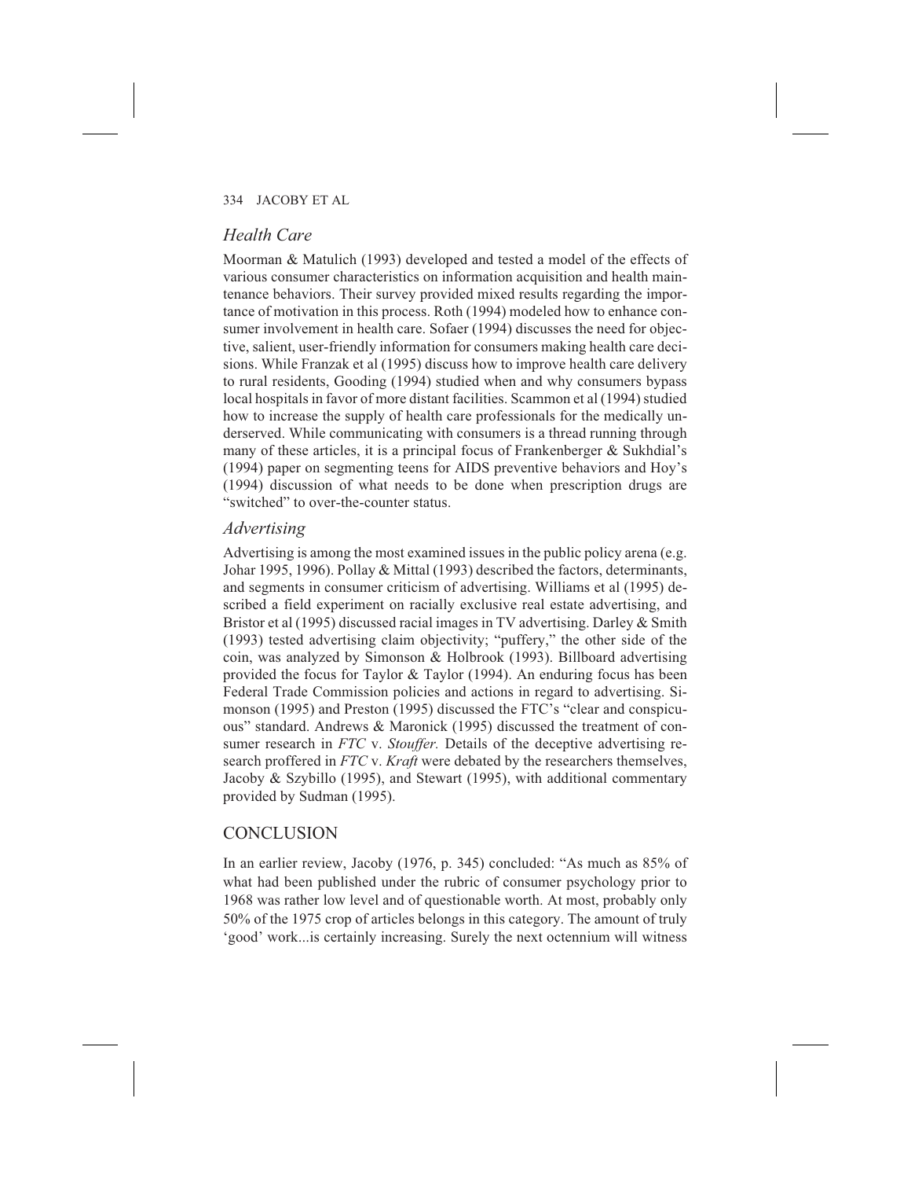# *Health Care*

Moorman & Matulich (1993) developed and tested a model of the effects of various consumer characteristics on information acquisition and health maintenance behaviors. Their survey provided mixed results regarding the importance of motivation in this process. Roth (1994) modeled how to enhance consumer involvement in health care. Sofaer (1994) discusses the need for objective, salient, user-friendly information for consumers making health care decisions. While Franzak et al (1995) discuss how to improve health care delivery to rural residents, Gooding (1994) studied when and why consumers bypass local hospitals in favor of more distant facilities. Scammon et al (1994) studied how to increase the supply of health care professionals for the medically underserved. While communicating with consumers is a thread running through many of these articles, it is a principal focus of Frankenberger & Sukhdial's (1994) paper on segmenting teens for AIDS preventive behaviors and Hoy's (1994) discussion of what needs to be done when prescription drugs are "switched" to over-the-counter status.

# *Advertising*

Advertising is among the most examined issues in the public policy arena (e.g. Johar 1995, 1996). Pollay & Mittal (1993) described the factors, determinants, and segments in consumer criticism of advertising. Williams et al (1995) described a field experiment on racially exclusive real estate advertising, and Bristor et al (1995) discussed racial images in TV advertising. Darley & Smith (1993) tested advertising claim objectivity; "puffery," the other side of the coin, was analyzed by Simonson & Holbrook (1993). Billboard advertising provided the focus for Taylor & Taylor (1994). An enduring focus has been Federal Trade Commission policies and actions in regard to advertising. Simonson (1995) and Preston (1995) discussed the FTC's "clear and conspicuous" standard. Andrews & Maronick (1995) discussed the treatment of consumer research in *FTC* v. *Stouffer.* Details of the deceptive advertising research proffered in *FTC* v. *Kraft* were debated by the researchers themselves, Jacoby & Szybillo (1995), and Stewart (1995), with additional commentary provided by Sudman (1995).

# **CONCLUSION**

In an earlier review, Jacoby (1976, p. 345) concluded: "As much as 85% of what had been published under the rubric of consumer psychology prior to 1968 was rather low level and of questionable worth. At most, probably only 50% of the 1975 crop of articles belongs in this category. The amount of truly 'good' work...is certainly increasing. Surely the next octennium will witness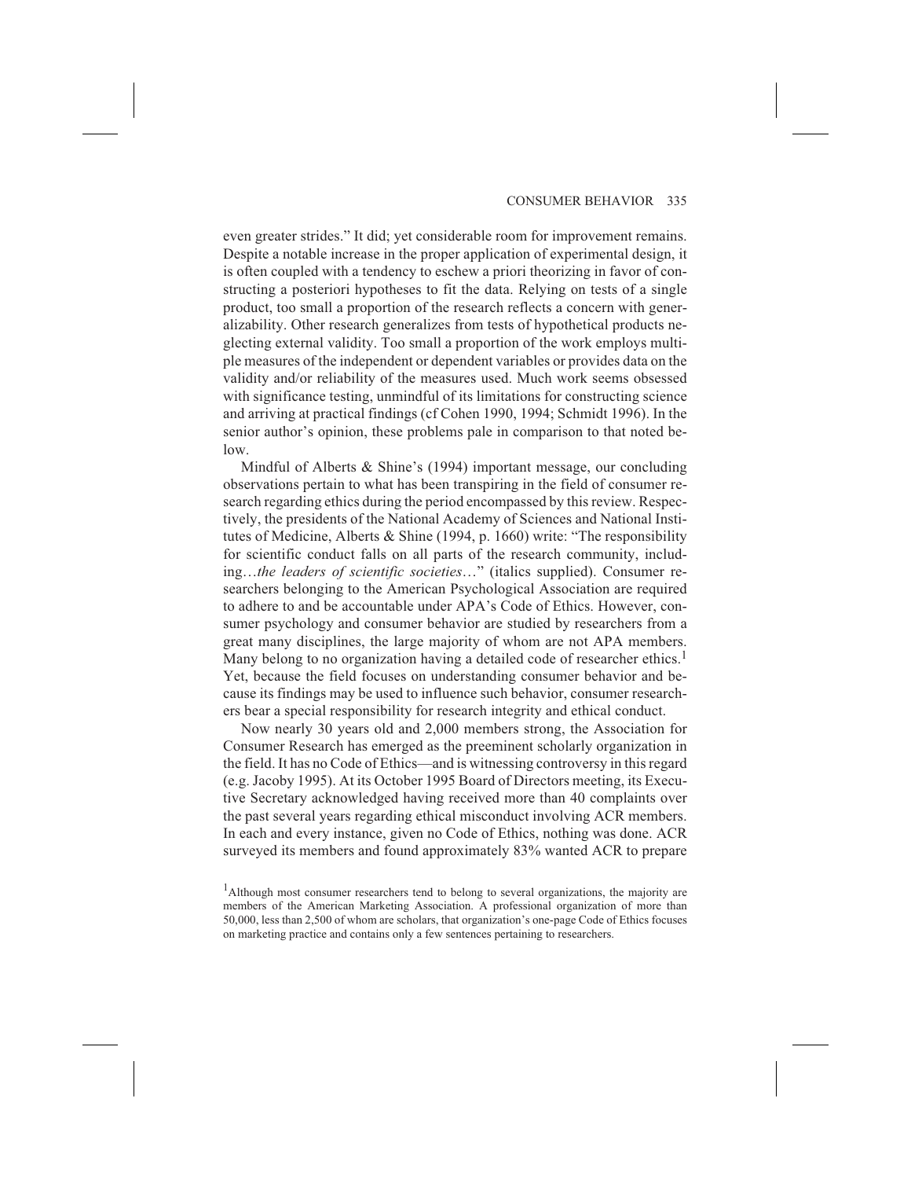even greater strides." It did; yet considerable room for improvement remains. Despite a notable increase in the proper application of experimental design, it is often coupled with a tendency to eschew a priori theorizing in favor of constructing a posteriori hypotheses to fit the data. Relying on tests of a single product, too small a proportion of the research reflects a concern with generalizability. Other research generalizes from tests of hypothetical products neglecting external validity. Too small a proportion of the work employs multiple measures of the independent or dependent variables or provides data on the validity and/or reliability of the measures used. Much work seems obsessed with significance testing, unmindful of its limitations for constructing science and arriving at practical findings (cf Cohen 1990, 1994; Schmidt 1996). In the senior author's opinion, these problems pale in comparison to that noted below.

Mindful of Alberts & Shine's (1994) important message, our concluding observations pertain to what has been transpiring in the field of consumer research regarding ethics during the period encompassed by this review. Respectively, the presidents of the National Academy of Sciences and National Institutes of Medicine, Alberts & Shine (1994, p. 1660) write: "The responsibility for scientific conduct falls on all parts of the research community, including…*the leaders of scientific societies*…" (italics supplied). Consumer researchers belonging to the American Psychological Association are required to adhere to and be accountable under APA's Code of Ethics. However, consumer psychology and consumer behavior are studied by researchers from a great many disciplines, the large majority of whom are not APA members. Many belong to no organization having a detailed code of researcher ethics.<sup>1</sup> Yet, because the field focuses on understanding consumer behavior and because its findings may be used to influence such behavior, consumer researchers bear a special responsibility for research integrity and ethical conduct.

Now nearly 30 years old and 2,000 members strong, the Association for Consumer Research has emerged as the preeminent scholarly organization in the field. It has no Code of Ethics—and is witnessing controversy in this regard (e.g. Jacoby 1995). At its October 1995 Board of Directors meeting, its Executive Secretary acknowledged having received more than 40 complaints over the past several years regarding ethical misconduct involving ACR members. In each and every instance, given no Code of Ethics, nothing was done. ACR surveyed its members and found approximately 83% wanted ACR to prepare

<sup>&</sup>lt;sup>1</sup>Although most consumer researchers tend to belong to several organizations, the majority are members of the American Marketing Association. A professional organization of more than 50,000, less than 2,500 of whom are scholars, that organization's one-page Code of Ethics focuses on marketing practice and contains only a few sentences pertaining to researchers.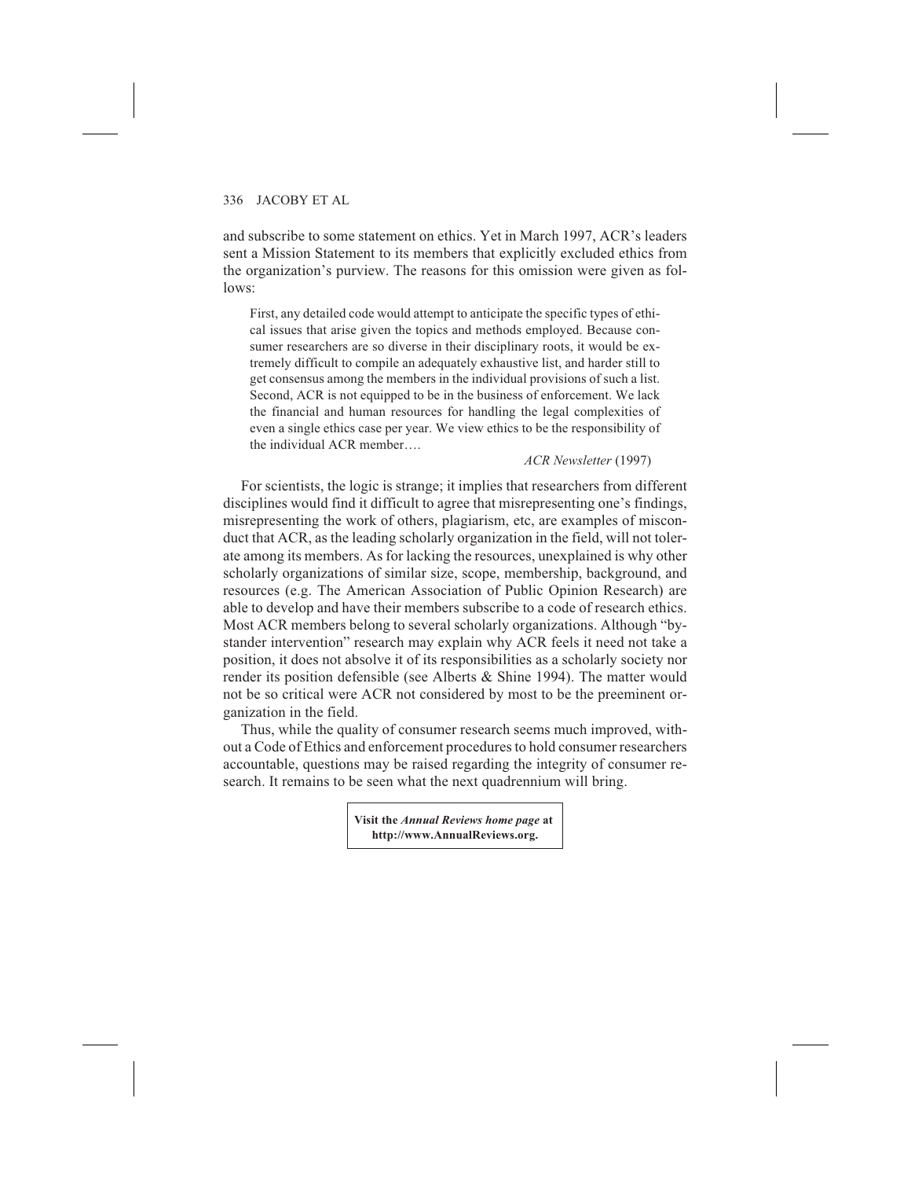and subscribe to some statement on ethics. Yet in March 1997, ACR's leaders sent a Mission Statement to its members that explicitly excluded ethics from the organization's purview. The reasons for this omission were given as fol $l$ ows:

First, any detailed code would attempt to anticipate the specific types of ethical issues that arise given the topics and methods employed. Because consumer researchers are so diverse in their disciplinary roots, it would be extremely difficult to compile an adequately exhaustive list, and harder still to get consensus among the members in the individual provisions of such a list. Second, ACR is not equipped to be in the business of enforcement. We lack the financial and human resources for handling the legal complexities of even a single ethics case per year. We view ethics to be the responsibility of the individual ACR member….

#### *ACR Newsletter* (1997)

For scientists, the logic is strange; it implies that researchers from different disciplines would find it difficult to agree that misrepresenting one's findings, misrepresenting the work of others, plagiarism, etc, are examples of misconduct that ACR, as the leading scholarly organization in the field, will not tolerate among its members. As for lacking the resources, unexplained is why other scholarly organizations of similar size, scope, membership, background, and resources (e.g. The American Association of Public Opinion Research) are able to develop and have their members subscribe to a code of research ethics. Most ACR members belong to several scholarly organizations. Although "bystander intervention" research may explain why ACR feels it need not take a position, it does not absolve it of its responsibilities as a scholarly society nor render its position defensible (see Alberts & Shine 1994). The matter would not be so critical were ACR not considered by most to be the preeminent organization in the field.

Thus, while the quality of consumer research seems much improved, without a Code of Ethics and enforcement procedures to hold consumer researchers accountable, questions may be raised regarding the integrity of consumer research. It remains to be seen what the next quadrennium will bring.

> **Visit the** *Annual Reviews home page* **at http://www.AnnualReviews.org.**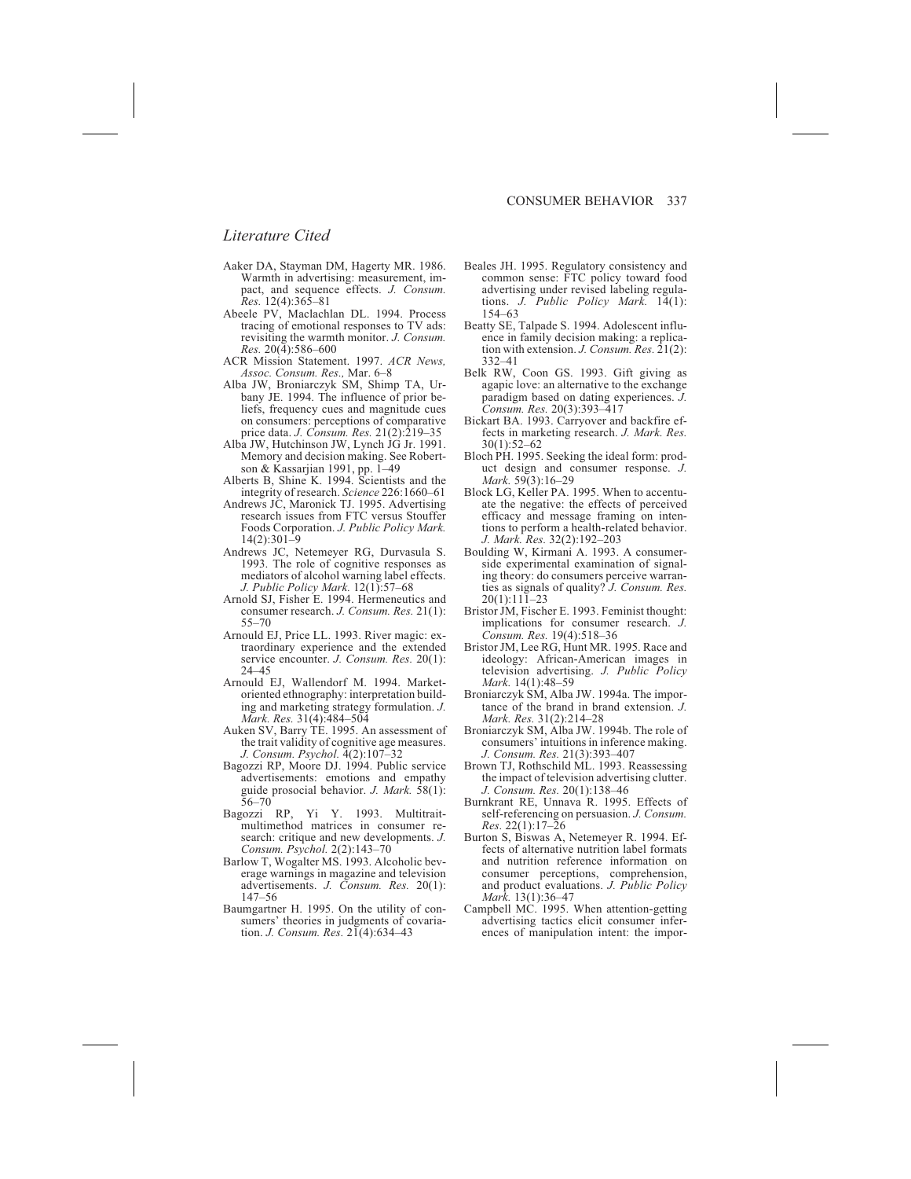#### *Literature Cited*

- Aaker DA, Stayman DM, Hagerty MR. 1986. Warmth in advertising: measurement, impact, and sequence effects. *J. Consum.*  $Res. 12(4):365 - 81$
- Abeele PV, Maclachlan DL. 1994. Process tracing of emotional responses to TV ads: revisiting the warmth monitor. *J. Consum. Res.* 20(4):586–600
- ACR Mission Statement. 1997. *ACR News, Assoc. Consum. Res.,* Mar. 6–8
- Alba JW, Broniarczyk SM, Shimp TA, Urbany JE. 1994. The influence of prior beliefs, frequency cues and magnitude cues on consumers: perceptions of comparative price data. *J. Consum. Res.* 21(2):219-35
- Alba JW, Hutchinson JW, Lynch JG Jr. 1991. Memory and decision making. See Robertson & Kassarjian 1991, pp. 1-49
- Alberts B, Shine K. 1994. Scientists and the integrity of research. *Science* 226:1660–61
- Andrews JC, Maronick TJ. 1995. Advertising research issues from FTC versus Stouffer Foods Corporation. *J. Public Policy Mark.* 14(2):301–9
- Andrews JC, Netemeyer RG, Durvasula S. 1993. The role of cognitive responses as mediators of alcohol warning label effects. *J. Public Policy Mark.* 12(1):57–68
- Arnold SJ, Fisher E. 1994. Hermeneutics and consumer research. *J. Consum. Res.* 21(1): 55–70
- Arnould EJ, Price LL. 1993. River magic: extraordinary experience and the extended service encounter. *J. Consum. Res.* 20(1): 24–45
- Arnould EJ, Wallendorf M. 1994. Marketoriented ethnography: interpretation building and marketing strategy formulation. *J. Mark. Res.* 31(4):484–504
- Auken SV, Barry TE. 1995. An assessment of the trait validity of cognitive age measures. *J. Consum. Psychol.* 4(2):107–32
- Bagozzi RP, Moore DJ. 1994. Public service advertisements: emotions and empathy guide prosocial behavior. *J. Mark.* 58(1): 56–70
- Bagozzi RP, Yi Y. 1993. Multitraitmultimethod matrices in consumer research: critique and new developments. *J. Consum. Psychol.* 2(2):143–70
- Barlow T, Wogalter MS. 1993. Alcoholic beverage warnings in magazine and television advertisements. *J. Consum. Res.* 20(1): 147–56
- Baumgartner H. 1995. On the utility of consumers' theories in judgments of covariation. *J. Consum. Res.* 21(4):634–43
- Beales JH. 1995. Regulatory consistency and common sense: FTC policy toward food advertising under revised labeling regulations. *J. Public Policy Mark.* 14(1): 154–63
- Beatty SE, Talpade S. 1994. Adolescent influence in family decision making: a replication with extension. *J. Consum. Res.* 21(2): 332–41
- Belk RW, Coon GS. 1993. Gift giving as agapic love: an alternative to the exchange paradigm based on dating experiences. *J. Consum. Res.* 20(3):393–417
- Bickart BA. 1993. Carryover and backfire effects in marketing research. *J. Mark. Res.* 30(1):52–62
- Bloch PH. 1995. Seeking the ideal form: product design and consumer response. *J. Mark.* 59(3):16–29
- Block LG, Keller PA. 1995. When to accentuate the negative: the effects of perceived efficacy and message framing on intentions to perform a health-related behavior. *J. Mark. Res.* 32(2):192–203
- Boulding W, Kirmani A. 1993. A consumerside experimental examination of signaling theory: do consumers perceive warranties as signals of quality? *J. Consum. Res.*  $20(1):11\overline{1} - 23$
- Bristor JM, Fischer E. 1993. Feminist thought: implications for consumer research. *J. Consum. Res.* 19(4):518–36
- Bristor JM, Lee RG, Hunt MR. 1995. Race and ideology: African-American images in television advertising. *J. Public Policy Mark.* 14(1):48–59
- Broniarczyk SM, Alba JW. 1994a. The importance of the brand in brand extension. *J. Mark. Res.* 31(2):214–28
- Broniarczyk SM, Alba JW. 1994b. The role of consumers' intuitions in inference making. *J. Consum. Res.* 21(3):393–407
- Brown TJ, Rothschild ML. 1993. Reassessing the impact of television advertising clutter. *J. Consum. Res.* 20(1):138–46
- Burnkrant RE, Unnava R. 1995. Effects of self-referencing on persuasion. *J. Consum. Res.* 22(1):17–26
- Burton S, Biswas A, Netemeyer R. 1994. Effects of alternative nutrition label formats and nutrition reference information on consumer perceptions, comprehension, and product evaluations. *J. Public Policy Mark.* 13(1):36–47
- Campbell MC. 1995. When attention-getting advertising tactics elicit consumer inferences of manipulation intent: the impor-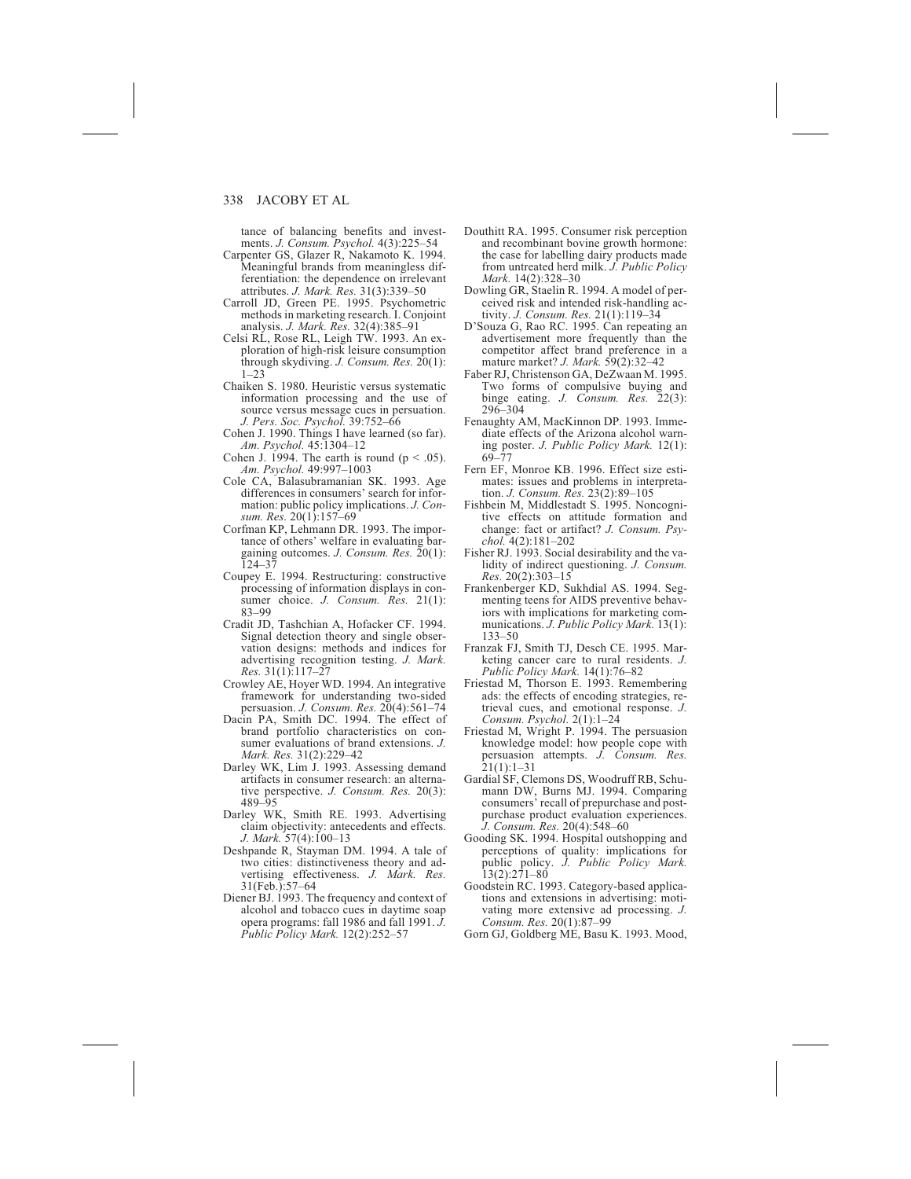tance of balancing benefits and investments. *J. Consum. Psychol.* 4(3):225–54

- Carpenter GS, Glazer R, Nakamoto K. 1994. Meaningful brands from meaningless differentiation: the dependence on irrelevant attributes. *J. Mark. Res.* 31(3):339–50
- Carroll JD, Green PE. 1995. Psychometric methods in marketing research. I. Conjoint analysis. *J. Mark. Res.* 32(4):385–91
- Celsi RL, Rose RL, Leigh TW 1993. An exploration of high-risk leisure consumption through skydiving. *J. Consum. Res.* 20(1): 1–23
- Chaiken S. 1980. Heuristic versus systematic information processing and the use of source versus message cues in persuation. *J. Pers. Soc. Psychol.* 39:752–66
- Cohen J. 1990. Things I have learned (so far). *Am. Psychol.* 45:1304–12
- Cohen J. 1994. The earth is round ( $p < .05$ ). *Am. Psychol.* 49:997–1003
- Cole CA, Balasubramanian SK. 1993. Age differences in consumers' search for information: public policy implications. *J. Consum. Res.* 20(1):157–69
- Corfman KP, Lehmann DR. 1993. The importance of others' welfare in evaluating bargaining outcomes. *J. Consum. Res.* 20(1): 124–37
- Coupey E. 1994. Restructuring: constructive processing of information displays in consumer choice. *J. Consum. Res.* 21(1): 83–99
- Cradit JD, Tashchian A, Hofacker CF. 1994. Signal detection theory and single observation designs: methods and indices for advertising recognition testing. *J. Mark. Res.* 31(1):117–27
- Crowley AE, Hoyer WD. 1994. An integrative framework for understanding two-sided persuasion. *J. Consum. Res.* 20(4):561–74
- Dacin PA, Smith DC. 1994. The effect of brand portfolio characteristics on consumer evaluations of brand extensions. *J. Mark. Res.* 31(2):229–42
- Darley WK, Lim J. 1993. Assessing demand artifacts in consumer research: an alternative perspective. *J. Consum. Res.* 20(3): 489–95
- Darley WK, Smith RE. 1993. Advertising claim objectivity: antecedents and effects. *J. Mark.* 57(4):100–13
- Deshpande R, Stayman DM. 1994. A tale of two cities: distinctiveness theory and advertising effectiveness. *J. Mark. Res.* 31(Feb.):57–64
- Diener BJ. 1993. The frequency and context of alcohol and tobacco cues in daytime soap opera programs: fall 1986 and fall 1991. *J. Public Policy Mark.* 12(2):252–57
- Douthitt RA. 1995. Consumer risk perception and recombinant bovine growth hormone: the case for labelling dairy products made from untreated herd milk. *J. Public Policy Mark.* 14(2):328–30
- Dowling GR, Staelin R. 1994. A model of perceived risk and intended risk-handling activity. *J. Consum. Res.* 21(1):119–34
- D'Souza G, Rao RC. 1995. Can repeating an advertisement more frequently than the competitor affect brand preference in a mature market? *J. Mark.* 59(2):32–42
- Faber RJ, Christenson GA, DeZwaan M. 1995. Two forms of compulsive buying and binge eating. *J. Consum. Res.* 22(3): 296–304
- Fenaughty AM, MacKinnon DP. 1993. Immediate effects of the Arizona alcohol warning poster. *J. Public Policy Mark.* 12(1): 69–77
- Fern EF, Monroe KB. 1996. Effect size estimates: issues and problems in interpretation. *J. Consum. Res.* 23(2):89–105
- Fishbein M, Middlestadt S. 1995. Noncognitive effects on attitude formation and change: fact or artifact? *J. Consum. Psychol.* 4(2):181–202
- Fisher RJ. 1993. Social desirability and the validity of indirect questioning. *J. Consum. Res.* 20(2):303–15
- Frankenberger KD, Sukhdial AS. 1994. Segmenting teens for AIDS preventive behaviors with implications for marketing communications. *J. Public Policy Mark.* 13(1): 133–50
- Franzak FJ, Smith TJ, Desch CE. 1995. Marketing cancer care to rural residents. *J. Public Policy Mark.* 14(1):76–82
- Friestad M, Thorson E. 1993. Remembering ads: the effects of encoding strategies, retrieval cues, and emotional response. *J. Consum. Psychol.* 2(1):1–24
- Friestad M, Wright P. 1994. The persuasion knowledge model: how people cope with persuasion attempts. *J. Consum. Res.* 21(1):1–31
- Gardial SF, Clemons DS, Woodruff RB, Schumann DW, Burns MJ. 1994. Comparing consumers' recall of prepurchase and postpurchase product evaluation experiences. *J. Consum. Res.* 20(4):548–60
- Gooding SK. 1994. Hospital outshopping and perceptions of quality: implications for public policy. *J. Public Policy Mark.*  $13(2):271-80$
- Goodstein RC. 1993. Category-based applications and extensions in advertising: motivating more extensive ad processing. *J. Consum. Res.* 20(1):87–99
- Gorn GJ, Goldberg ME, Basu K. 1993. Mood,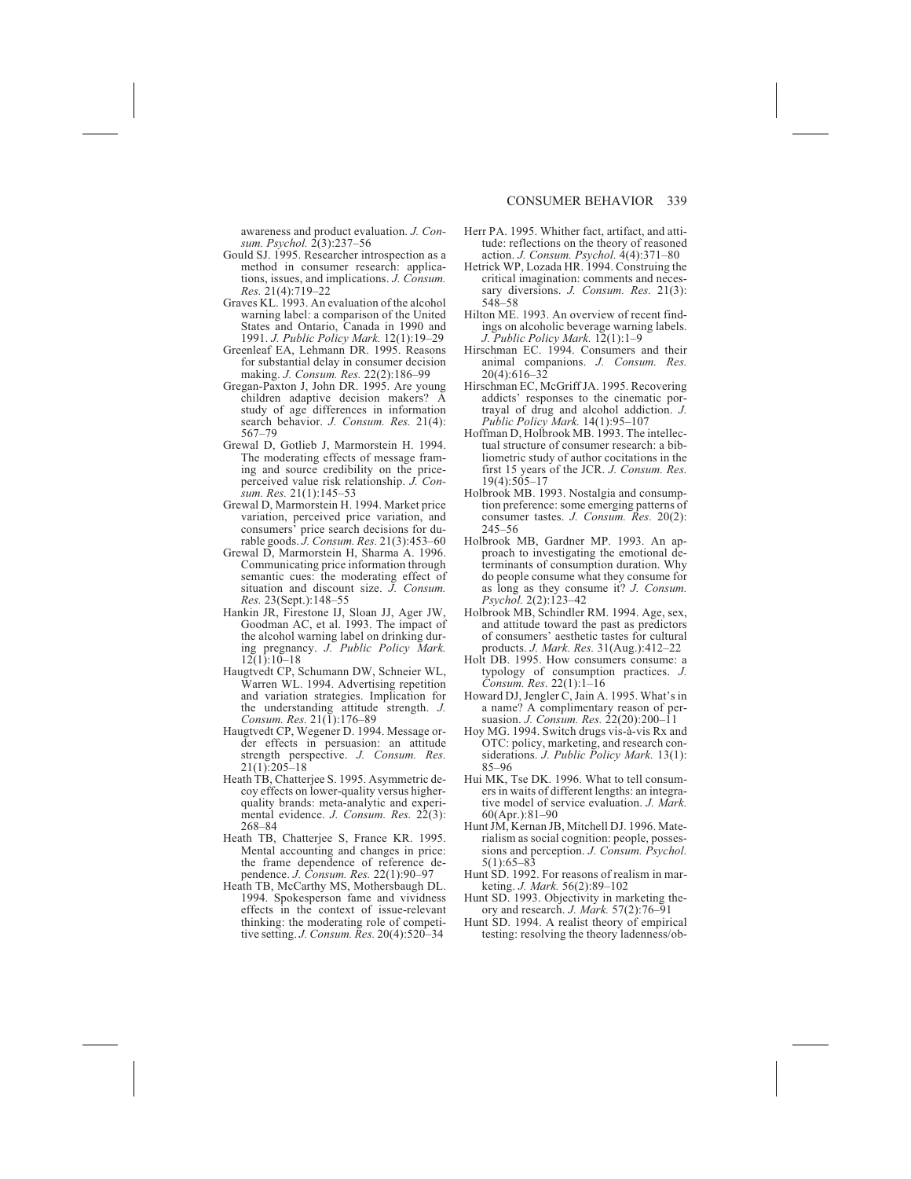awareness and product evaluation. *J. Consum. Psychol.* 2(3):237–56

- Gould SJ. 1995. Researcher introspection as a method in consumer research: applications, issues, and implications. *J. Consum. Res.* 21(4):719–22
- Graves KL. 1993. An evaluation of the alcohol warning label: a comparison of the United States and Ontario, Canada in 1990 and 1991. *J. Public Policy Mark.* 12(1):19–29
- Greenleaf EA, Lehmann DR. 1995. Reasons for substantial delay in consumer decision making. *J. Consum. Res.* 22(2):186–99
- Gregan-Paxton J, John DR. 1995. Are young children adaptive decision makers? A study of age differences in information search behavior. *J. Consum. Res.* 21(4): 567–79
- Grewal D, Gotlieb J, Marmorstein H. 1994. The moderating effects of message framing and source credibility on the priceperceived value risk relationship. *J. Consum. Res.* 21(1):145–53
- Grewal D, Marmorstein H. 1994. Market price variation, perceived price variation, and consumers' price search decisions for durable goods. *J. Consum. Res.* 21(3):453–60
- Grewal D, Marmorstein H, Sharma A. 1996. Communicating price information through semantic cues: the moderating effect of situation and discount size. *J. Consum. Res.* 23(Sept.):148–55
- Hankin JR, Firestone IJ, Sloan JJ, Ager JW, Goodman AC, et al. 1993. The impact of the alcohol warning label on drinking during pregnancy. *J. Public Policy Mark.*  $12(1):10-18$
- Haugtvedt CP, Schumann DW, Schneier WL, Warren WL. 1994. Advertising repetition and variation strategies. Implication for the understanding attitude strength. *J. Consum. Res.* 21(1):176–89
- Haugtvedt CP, Wegener D. 1994. Message order effects in persuasion: an attitude strength perspective. *J. Consum. Res.* 21(1):205–18
- Heath TB, Chatterjee S. 1995. Asymmetric decoy effects on lower-quality versus higherquality brands: meta-analytic and experimental evidence. *J. Consum. Res.* 22(3): 268–84
- Heath TB, Chatterjee S, France KR. 1995. Mental accounting and changes in price: the frame dependence of reference dependence. *J. Consum. Res.* 22(1):90–97
- Heath TB, McCarthy MS, Mothersbaugh DL. 1994. Spokesperson fame and vividness effects in the context of issue-relevant thinking: the moderating role of competitive setting. *J. Consum. Res.* 20(4):520–34
- Herr PA. 1995. Whither fact, artifact, and attitude: reflections on the theory of reasoned action. *J. Consum. Psychol.* 4(4):371–80
- Hetrick WP, Lozada HR. 1994. Construing the critical imagination: comments and necessary diversions. *J. Consum. Res.* 21(3): 548–58
- Hilton ME. 1993. An overview of recent findings on alcoholic beverage warning labels. *J. Public Policy Mark.* 12(1):1–9
- Hirschman EC. 1994. Consumers and their animal companions. *J. Consum. Res.* 20(4):616–32
- Hirschman EC, McGriff JA. 1995. Recovering addicts' responses to the cinematic portrayal of drug and alcohol addiction. *J. Public Policy Mark.* 14(1):95–107
- Hoffman D, Holbrook MB. 1993. The intellectual structure of consumer research: a bibliometric study of author cocitations in the first 15 years of the JCR. *J. Consum. Res.* 19(4):505–17
- Holbrook MB. 1993. Nostalgia and consumption preference: some emerging patterns of consumer tastes. *J. Consum. Res.* 20(2): 245–56
- Holbrook MB, Gardner MP. 1993. An approach to investigating the emotional determinants of consumption duration. Why do people consume what they consume for as long as they consume it? *J. Consum. Psychol.* 2(2):123–42
- Holbrook MB, Schindler RM. 1994. Age, sex, and attitude toward the past as predictors of consumers' aesthetic tastes for cultural products. *J. Mark. Res.* 31(Aug.):412–22
- Holt DB. 1995. How consumers consume: a typology of consumption practices. *J. Consum. Res.* 22(1):1–16
- Howard DJ, Jengler C, Jain A. 1995. What's in a name? A complimentary reason of persuasion. *J. Consum. Res.* 22(20):200–11
- Hoy MG. 1994. Switch drugs vis-à-vis Rx and OTC: policy, marketing, and research considerations. *J. Public Policy Mark.* 13(1): 85–96
- Hui MK, Tse DK. 1996. What to tell consumers in waits of different lengths: an integrative model of service evaluation. *J. Mark.* 60(Apr.):81–90
- Hunt JM, Kernan JB, Mitchell DJ. 1996. Materialism as social cognition: people, possessions and perception. *J. Consum. Psychol.*  $5(1):65-83$
- Hunt SD. 1992. For reasons of realism in marketing. *J. Mark.* 56(2):89–102
- Hunt SD. 1993. Objectivity in marketing theory and research. *J. Mark.* 57(2):76–91
- Hunt SD. 1994. A realist theory of empirical testing: resolving the theory ladenness/ob-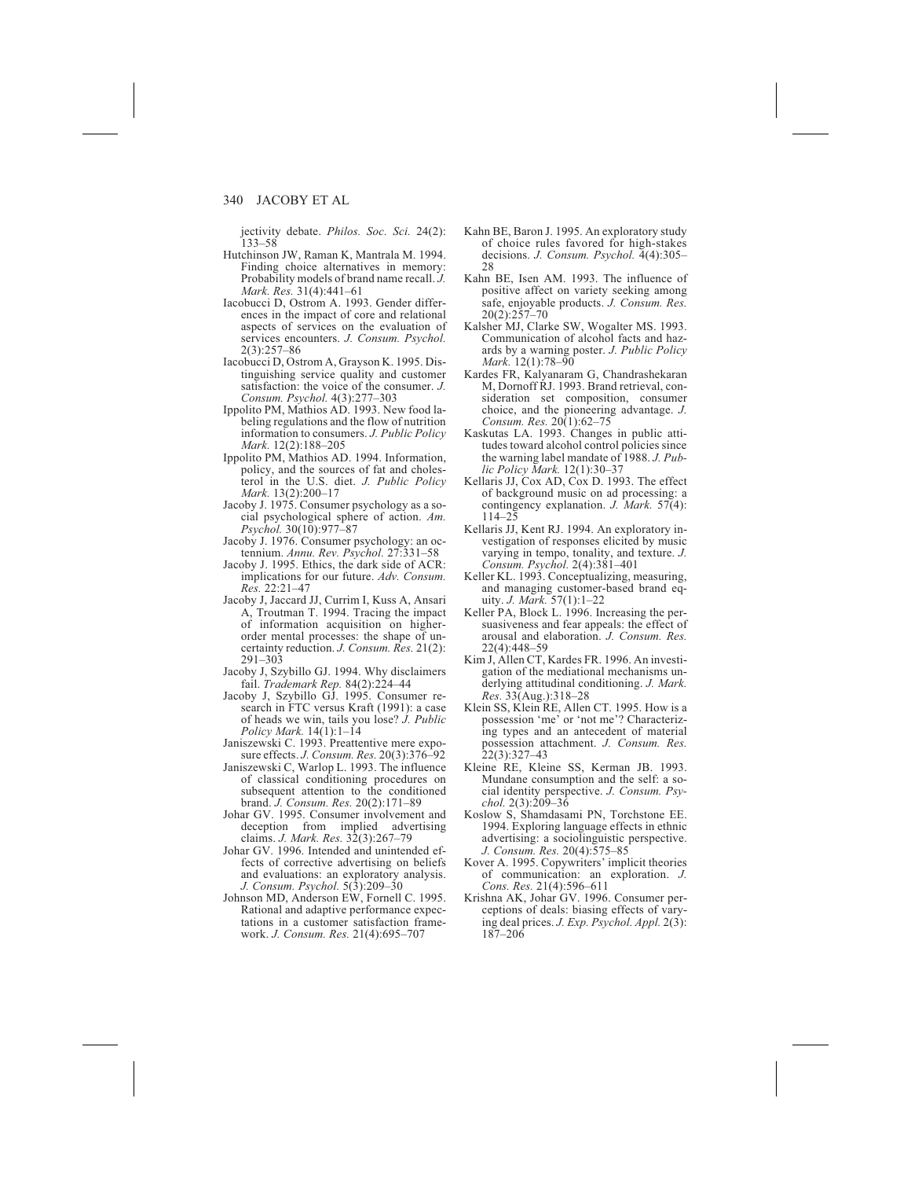jectivity debate. *Philos. Soc. Sci.* 24(2): 133–58

- Hutchinson JW, Raman K, Mantrala M. 1994. Finding choice alternatives in memory: Probability models of brand name recall. *J. Mark. Res.* 31(4):441–61
- Iacobucci D, Ostrom A. 1993. Gender differences in the impact of core and relational aspects of services on the evaluation of services encounters. *J. Consum. Psychol.* 2(3):257–86
- Iacobucci D, Ostrom A, Grayson K. 1995. Distinguishing service quality and customer satisfaction: the voice of the consumer. *J. Consum. Psychol.* 4(3):277–303
- Ippolito PM, Mathios AD. 1993. New food labeling regulations and the flow of nutrition information to consumers. *J. Public Policy Mark.* 12(2):188–205
- Ippolito PM, Mathios AD. 1994. Information, policy, and the sources of fat and cholesterol in the U.S. diet. *J. Public Policy Mark.* 13(2):200–17
- Jacoby J. 1975. Consumer psychology as a social psychological sphere of action. *Am. Psychol.* 30(10):977–87
- Jacoby J. 1976. Consumer psychology: an octennium. *Annu. Rev. Psychol.* 27:331–58
- Jacoby J. 1995. Ethics, the dark side of ACR: implications for our future. *Adv. Consum. Res.* 22:21–47
- Jacoby J, Jaccard JJ, Currim I, Kuss A, Ansari A, Troutman T. 1994. Tracing the impact of information acquisition on higherorder mental processes: the shape of uncertainty reduction. *J. Consum. Res.* 21(2): 291–303
- Jacoby J, Szybillo GJ. 1994. Why disclaimers fail. *Trademark Rep.* 84(2):224–44
- Jacoby J, Szybillo GJ. 1995. Consumer research in FTC versus Kraft (1991): a case of heads we win, tails you lose? *J. Public Policy Mark.* 14(1):1–14
- Janiszewski C. 1993. Preattentive mere exposure effects. *J. Consum. Res.* 20(3):376–92
- Janiszewski C, Warlop L. 1993. The influence of classical conditioning procedures on subsequent attention to the conditioned brand. *J. Consum. Res.* 20(2):171–89
- Johar GV. 1995. Consumer involvement and deception from implied advertising claims. *J. Mark. Res.* 32(3):267–79
- Johar GV. 1996. Intended and unintended effects of corrective advertising on beliefs and evaluations: an exploratory analysis. *J. Consum. Psychol.* 5(3):209–30
- Johnson MD, Anderson EW, Fornell C. 1995. Rational and adaptive performance expectations in a customer satisfaction framework. *J. Consum. Res.* 21(4):695–707
- Kahn BE, Baron J. 1995. An exploratory study of choice rules favored for high-stakes decisions. *J. Consum. Psychol.*  $\overline{4}(4)$ :305–  $28$
- Kahn BE, Isen AM. 1993. The influence of positive affect on variety seeking among safe, enjoyable products. *J. Consum. Res.*  $20(2):257-70$
- Kalsher MJ, Clarke SW, Wogalter MS. 1993. Communication of alcohol facts and hazards by a warning poster. *J. Public Policy Mark.* 12(1):78–90
- Kardes FR, Kalyanaram G, Chandrashekaran M, Dornoff RJ. 1993. Brand retrieval, consideration set composition, consumer choice, and the pioneering advantage. *J. Consum. Res.* 20(1):62–75
- Kaskutas LA. 1993. Changes in public attitudes toward alcohol control policies since the warning label mandate of 1988. *J. Public Policy Mark.* 12(1):30–37
- Kellaris JJ, Cox AD, Cox D. 1993. The effect of background music on ad processing: a contingency explanation. *J. Mark.* 57(4): 114–25
- Kellaris JJ, Kent RJ. 1994. An exploratory investigation of responses elicited by music varying in tempo, tonality, and texture. *J. Consum. Psychol.* 2(4):381–401
- Keller KL. 1993. Conceptualizing, measuring, and managing customer-based brand eq-uity. *J. Mark.* 57(1):1–22
- Keller PA, Block L. 1996. Increasing the persuasiveness and fear appeals: the effect of arousal and elaboration. *J. Consum. Res.* 22(4):448–59
- Kim J, Allen CT, Kardes FR. 1996. An investigation of the mediational mechanisms underlying attitudinal conditioning. *J. Mark. Res.* 33(Aug.):318–28
- Klein SS, Klein RE, Allen CT. 1995. How is a possession 'me' or 'not me'? Characterizing types and an antecedent of material possession attachment. *J. Consum. Res.* 22(3):327–43
- Kleine RE, Kleine SS, Kerman JB. 1993. Mundane consumption and the self: a social identity perspective. *J. Consum. Psychol.* 2(3):209–36
- Koslow S, Shamdasami PN, Torchstone EE. 1994. Exploring language effects in ethnic advertising: a sociolinguistic perspective. *J. Consum. Res.* 20(4):575–85
- Kover A. 1995. Copywriters' implicit theories of communication: an exploration. *J. Cons. Res.* 21(4):596–611
- Krishna AK, Johar GV. 1996. Consumer perceptions of deals: biasing effects of varying deal prices. *J. Exp. Psychol. Appl.* 2(3): 187–206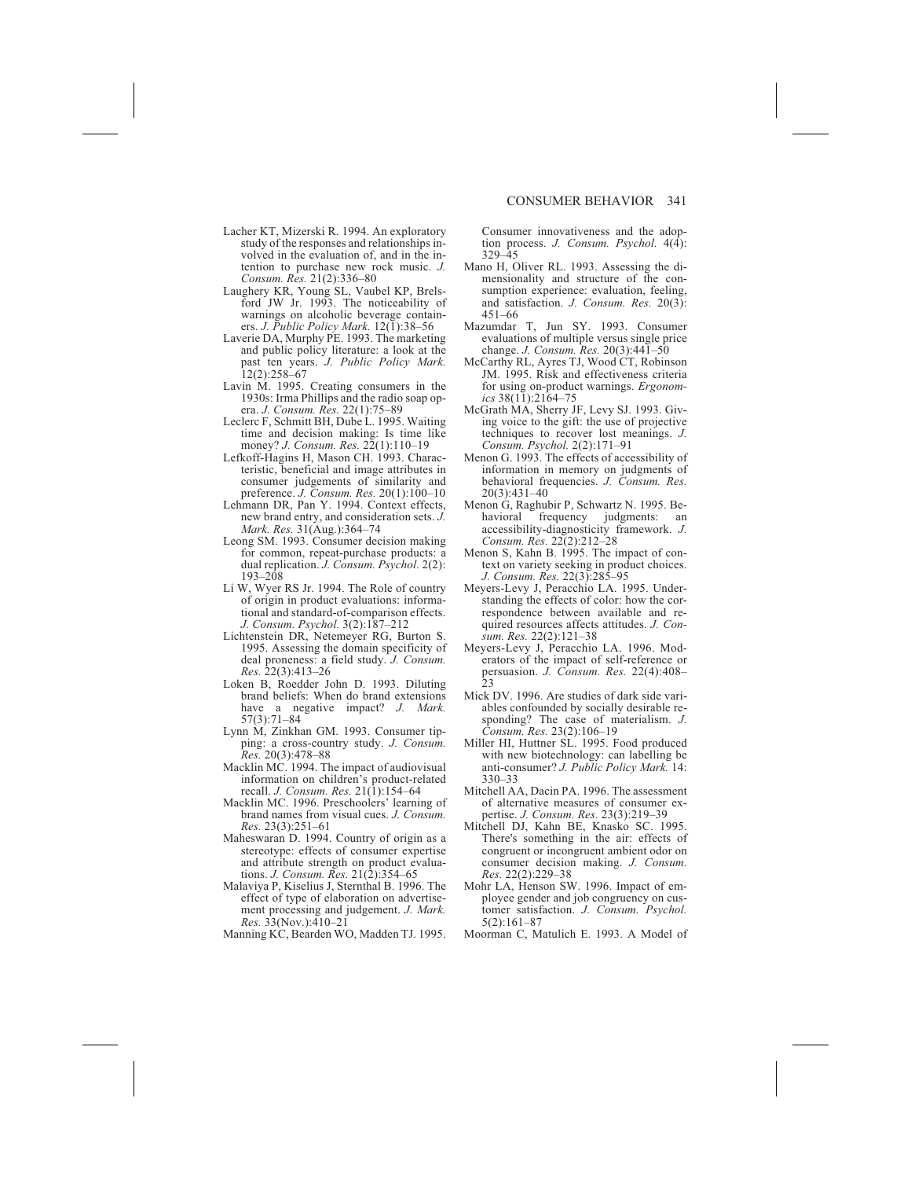- Lacher KT, Mizerski R. 1994. An exploratory study of the responses and relationships involved in the evaluation of, and in the intention to purchase new rock music. *J. Consum. Res.* 21(2):336–80
- Laughery KR, Young SL, Vaubel KP, Brelsford JW Jr. 1993. The noticeability of warnings on alcoholic beverage containers. *J. Public Policy Mark.* 12(1):38–56
- Laverie DA, Murphy PE. 1993. The marketing and public policy literature: a look at the past ten years. *J. Public Policy Mark.* 12(2):258–67
- Lavin M. 1995. Creating consumers in the 1930s: Irma Phillips and the radio soap opera. *J. Consum. Res.* 22(1):75–89
- Leclerc F, Schmitt BH, Dube L. 1995. Waiting time and decision making: Is time like money? *J. Consum. Res.* 22(1):110–19
- Lefkoff-Hagins H, Mason CH. 1993. Characteristic, beneficial and image attributes in consumer judgements of similarity and preference. *J. Consum. Res.* 20(1):100-10
- Lehmann DR, Pan Y. 1994. Context effects, new brand entry, and consideration sets. *J. Mark. Res.* 31(Aug.):364–74
- Leong SM. 1993. Consumer decision making for common, repeat-purchase products: a dual replication. *J. Consum. Psychol.* 2(2): 193–208
- Li W, Wyer RS Jr. 1994. The Role of country of origin in product evaluations: informational and standard-of-comparison effects. *J. Consum. Psychol.* 3(2):187–212
- Lichtenstein DR, Netemeyer RG, Burton S. 1995. Assessing the domain specificity of deal proneness: a field study. *J. Consum. Res.* 22(3):413–26
- Loken B, Roedder John D. 1993. Diluting brand beliefs: When do brand extensions have a negative impact? *J. Mark.* 57(3):71–84
- Lynn M, Zinkhan GM. 1993. Consumer tipping: a cross-country study. *J. Consum. Res.* 20(3):478–88
- Macklin MC. 1994. The impact of audiovisual information on children's product-related recall. *J. Consum. Res.* 21(1):154–64
- Macklin MC. 1996. Preschoolers' learning of brand names from visual cues. *J. Consum. Res.* 23(3):251–61
- Maheswaran D. 1994. Country of origin as a stereotype: effects of consumer expertise and attribute strength on product evaluations. *J. Consum. Res.* 21(2):354–65
- Malaviya P, Kiselius J, Sternthal B. 1996. The effect of type of elaboration on advertisement processing and judgement. *J. Mark. Res.* 33(Nov.):410–21
- Manning KC, Bearden WO, Madden TJ. 1995.

Consumer innovativeness and the adoption process. *J. Consum. Psychol.* 4(4): 329–45

- Mano H, Oliver RL. 1993. Assessing the dimensionality and structure of the consumption experience: evaluation, feeling, and satisfaction. *J. Consum. Res.* 20(3): 451–66
- Mazumdar T, Jun SY. 1993. Consumer evaluations of multiple versus single price change. *J. Consum. Res.* 20(3):441–50
- McCarthy RL, Ayres TJ, Wood CT, Robinson JM. 1995. Risk and effectiveness criteria for using on-product warnings. *Ergonomics* 38(11):2164–75
- McGrath MA, Sherry JF, Levy SJ. 1993. Giving voice to the gift: the use of projective techniques to recover lost meanings. *J. Consum. Psychol.* 2(2):171–91
- Menon G. 1993. The effects of accessibility of information in memory on judgments of behavioral frequencies. *J. Consum. Res.* 20(3):431–40
- Menon G, Raghubir P, Schwartz N. 1995. Behavioral frequency judgments: an frequency judgments: an accessibility-diagnosticity framework. *J. Consum. Res.* 22(2):212–28
- Menon S, Kahn B. 1995. The impact of context on variety seeking in product choices. *J. Consum. Res.* 22(3):285–95
- Meyers-Levy J, Peracchio LA. 1995. Understanding the effects of color: how the correspondence between available and required resources affects attitudes. *J. Consum. Res.* 22(2):121–38
- Meyers-Levy J, Peracchio LA. 1996. Moderators of the impact of self-reference or persuasion. *J. Consum. Res.* 22(4):408–  $23$
- Mick DV. 1996. Are studies of dark side variables confounded by socially desirable responding? The case of materialism. *J. Consum. Res.* 23(2):106–19
- Miller HI, Huttner SL. 1995. Food produced with new biotechnology: can labelling be anti-consumer? *J. Public Policy Mark.* 14: 330–33
- Mitchell AA, Dacin PA. 1996. The assessment of alternative measures of consumer expertise. *J. Consum. Res.* 23(3):219–39
- Mitchell DJ, Kahn BE, Knasko SC. 1995. There's something in the air: effects of congruent or incongruent ambient odor on consumer decision making. *J. Consum. Res.* 22(2):229–38
- Mohr LA, Henson SW. 1996. Impact of employee gender and job congruency on customer satisfaction. *J. Consum. Psychol.* 5(2):161–87
- Moorman C, Matulich E. 1993. A Model of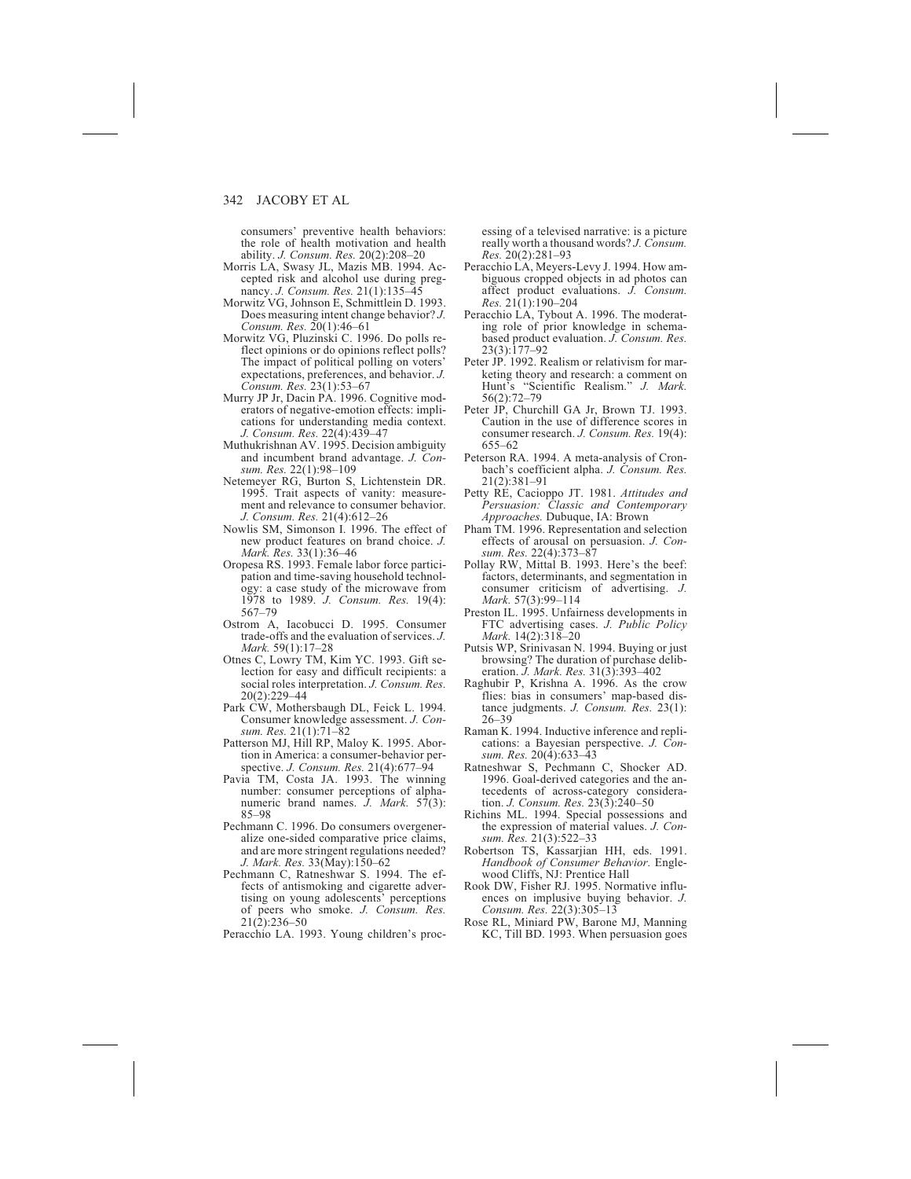consumers' preventive health behaviors: the role of health motivation and health ability. *J. Consum. Res.* 20(2):208–20

- Morris LA, Swasy JL, Mazis MB. 1994. Accepted risk and alcohol use during pregnancy. *J. Consum. Res.* 21(1):135–45
- Morwitz VG, Johnson E, Schmittlein D. 1993. Does measuring intent change behavior? *J. Consum. Res.* 20(1):46–61
- Morwitz VG, Pluzinski C. 1996. Do polls reflect opinions or do opinions reflect polls? The impact of political polling on voters' expectations, preferences, and behavior. *J. Consum. Res.* 23(1):53–67
- Murry JP Jr, Dacin PA. 1996. Cognitive moderators of negative-emotion effects: implications for understanding media context. *J. Consum. Res.* 22(4):439–47
- Muthukrishnan AV. 1995. Decision ambiguity and incumbent brand advantage. *J. Consum. Res.* 22(1):98–109
- Netemeyer RG, Burton S, Lichtenstein DR. 1995. Trait aspects of vanity: measurement and relevance to consumer behavior. *J. Consum. Res.* 21(4):612–26
- Nowlis SM, Simonson I. 1996. The effect of new product features on brand choice. *J. Mark. Res.* 33(1):36–46
- Oropesa RS. 1993. Female labor force participation and time-saving household technology: a case study of the microwave from 1978 to 1989. *J. Consum. Res.* 19(4): 567–79
- Ostrom A, Iacobucci D. 1995. Consumer trade-offs and the evaluation of services. *J. Mark.* 59(1):17–28
- Otnes C, Lowry TM, Kim YC. 1993. Gift selection for easy and difficult recipients: a social roles interpretation. *J. Consum. Res.* 20(2):229–44
- Park CW, Mothersbaugh DL, Feick L. 1994. Consumer knowledge assessment. *J. Consum. Res.* 21(1):71–82
- Patterson MJ, Hill RP, Maloy K. 1995. Abortion in America: a consumer-behavior perspective. *J. Consum. Res.* 21(4):677–94
- Pavia TM, Costa JA. 1993. The winning number: consumer perceptions of alphanumeric brand names. *J. Mark.* 57(3): 85–98
- Pechmann C. 1996. Do consumers overgeneralize one-sided comparative price claims, and are more stringent regulations needed? *J. Mark. Res.* 33(May):150–62
- Pechmann C, Ratneshwar S. 1994. The effects of antismoking and cigarette advertising on young adolescents' perceptions of peers who smoke. *J. Consum. Res.* 21(2):236–50
- Peracchio LA. 1993. Young children's proc-

essing of a televised narrative: is a picture really worth a thousand words? *J. Consum. Res.* 20(2):281–93

- Peracchio LA, Meyers-Levy J. 1994. How ambiguous cropped objects in ad photos can affect product evaluations. *J. Consum. Res.* 21(1):190–204
- Peracchio LA, Tybout A. 1996. The moderating role of prior knowledge in schemabased product evaluation. *J. Consum. Res.* 23(3):177–92
- Peter JP. 1992. Realism or relativism for marketing theory and research: a comment on Hunt's "Scientific Realism." *J. Mark.* 56(2):72–79
- Peter JP, Churchill GA Jr, Brown TJ. 1993. Caution in the use of difference scores in consumer research. *J. Consum. Res.* 19(4): 655–62
- Peterson RA. 1994. A meta-analysis of Cronbach's coefficient alpha. *J. Consum. Res.* 21(2):381–91
- Petty RE, Cacioppo JT. 1981. *Attitudes and Persuasion: Classic and Contemporary Approaches.* Dubuque, IA: Brown
- Pham TM. 1996. Representation and selection effects of arousal on persuasion. *J. Consum. Res.* 22(4):373–87
- Pollay RW, Mittal B. 1993. Here's the beef: factors, determinants, and segmentation in consumer criticism of advertising. *J. Mark.* 57(3):99–114
- Preston IL. 1995. Unfairness developments in FTC advertising cases. *J. Public Policy Mark.* 14(2):318–20
- Putsis WP, Srinivasan N. 1994. Buying or just browsing? The duration of purchase deliberation. *J. Mark. Res.* 31(3):393–402
- Raghubir P, Krishna A. 1996. As the crow flies: bias in consumers' map-based distance judgments. *J. Consum. Res.* 23(1): 26–39
- Raman K. 1994. Inductive inference and replications: a Bayesian perspective. *J. Consum. Res.* 20(4):633–43
- Ratneshwar S, Pechmann C, Shocker AD. 1996. Goal-derived categories and the antecedents of across-category consideration. *J. Consum. Res.* 23(3):240–50
- Richins ML. 1994. Special possessions and the expression of material values. *J. Consum. Res.* 21(3):522–33
- Robertson TS, Kassarjian HH, eds. 1991. *Handbook of Consumer Behavior.* Englewood Cliffs, NJ: Prentice Hall
- Rook DW, Fisher RJ. 1995. Normative influences on implusive buying behavior. *J. Consum. Res.* 22(3):305–13
- Rose RL, Miniard PW, Barone MJ, Manning KC, Till BD. 1993. When persuasion goes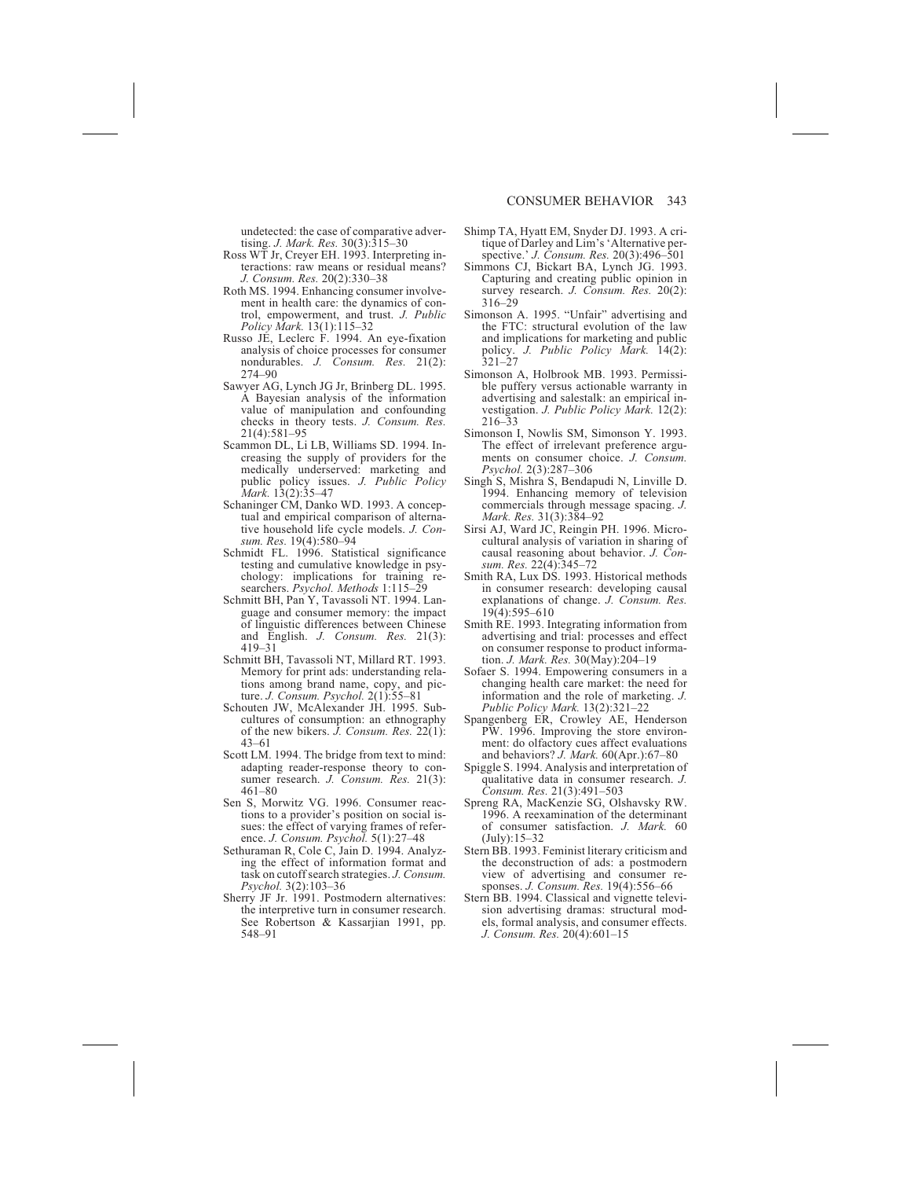undetected: the case of comparative advertising. *J. Mark. Res.* 30(3):315–30

- Ross WT Jr, Creyer EH. 1993. Interpreting interactions: raw means or residual means? *J. Consum. Res.* 20(2):330–38
- Roth MS. 1994. Enhancing consumer involvement in health care: the dynamics of control, empowerment, and trust. *J. Public Policy Mark.* 13(1):115–32
- Russo JE, Leclerc F. 1994. An eye-fixation analysis of choice processes for consumer nondurables. *J. Consum. Res.* 21(2): 274–90
- Sawyer AG, Lynch JG Jr, Brinberg DL. 1995. A Bayesian analysis of the information value of manipulation and confounding checks in theory tests. *J. Consum. Res.* 21(4):581–95
- Scammon DL, Li LB, Williams SD. 1994. Increasing the supply of providers for the medically underserved: marketing and public policy issues. *J. Public Policy Mark.* 13(2):35–47
- Schaninger CM, Danko WD. 1993. A conceptual and empirical comparison of alternative household life cycle models. *J. Consum. Res.* 19(4):580–94
- Schmidt FL. 1996. Statistical significance testing and cumulative knowledge in psychology: implications for training researchers. *Psychol. Methods* 1:115–29
- Schmitt BH, Pan Y, Tavassoli NT. 1994. Language and consumer memory: the impact of linguistic differences between Chinese and English. *J. Consum. Res.* 21(3): 419–31
- Schmitt BH, Tavassoli NT, Millard RT. 1993. Memory for print ads: understanding relations among brand name, copy, and picture. *J. Consum. Psychol.* 2(1):55–81
- Schouten JW, McAlexander JH. 1995. Subcultures of consumption: an ethnography of the new bikers. *J. Consum. Res.* 22(1): 43–61
- Scott LM. 1994. The bridge from text to mind: adapting reader-response theory to consumer research. *J. Consum. Res.* 21(3): 461–80
- Sen S, Morwitz VG. 1996. Consumer reactions to a provider's position on social issues: the effect of varying frames of reference. *J. Consum. Psychol.* 5(1):27–48
- Sethuraman R, Cole C, Jain D. 1994. Analyzing the effect of information format and task on cutoff search strategies. *J. Consum. Psychol.* 3(2):103–36
- Sherry JF Jr. 1991. Postmodern alternatives: the interpretive turn in consumer research. See Robertson & Kassarjian 1991, pp. 548–91
- Shimp TA, Hyatt EM, Snyder DJ. 1993. A critique of Darley and Lim's 'Alternative perspective.' *J. Consum. Res.* 20(3):496–501
- Simmons CJ, Bickart BA, Lynch JG. 1993. Capturing and creating public opinion in survey research. *J. Consum. Res.* 20(2): 316–29
- Simonson A. 1995. "Unfair" advertising and the FTC: structural evolution of the law and implications for marketing and public policy. *J. Public Policy Mark.* 14(2):  $321 - 27$
- Simonson A, Holbrook MB. 1993. Permissible puffery versus actionable warranty in advertising and salestalk: an empirical investigation. *J. Public Policy Mark.* 12(2): 216–33
- Simonson I, Nowlis SM, Simonson Y. 1993. The effect of irrelevant preference arguments on consumer choice. *J. Consum. Psychol.* 2(3):287–306
- Singh S, Mishra S, Bendapudi N, Linville D. 1994. Enhancing memory of television commercials through message spacing. *J. Mark. Res.* 31(3):384–92
- Sirsi AJ, Ward JC, Reingin PH. 1996. Microcultural analysis of variation in sharing of causal reasoning about behavior. *J. Consum. Res.* 22(4):345–72
- Smith RA, Lux DS. 1993. Historical methods in consumer research: developing causal explanations of change. *J. Consum. Res.* 19(4):595–610
- Smith RE. 1993. Integrating information from advertising and trial: processes and effect on consumer response to product information. *J. Mark. Res.* 30(May):204–19
- Sofaer S. 1994. Empowering consumers in a changing health care market: the need for information and the role of marketing. *J. Public Policy Mark.* 13(2):321–22
- Spangenberg ER, Crowley AE, Henderson PW. 1996. Improving the store environment: do olfactory cues affect evaluations and behaviors? *J. Mark.* 60(Apr.):67–80
- Spiggle S. 1994. Analysis and interpretation of qualitative data in consumer research. *J. Consum. Res.* 21(3):491–503
- Spreng RA, MacKenzie SG, Olshavsky RW. 1996. A reexamination of the determinant of consumer satisfaction. *J. Mark.* 60 (July):15–32
- Stern BB. 1993. Feminist literary criticism and the deconstruction of ads: a postmodern view of advertising and consumer responses. *J. Consum. Res.* 19(4):556–66
- Stern BB. 1994. Classical and vignette television advertising dramas: structural models, formal analysis, and consumer effects. *J. Consum. Res.* 20(4):601–15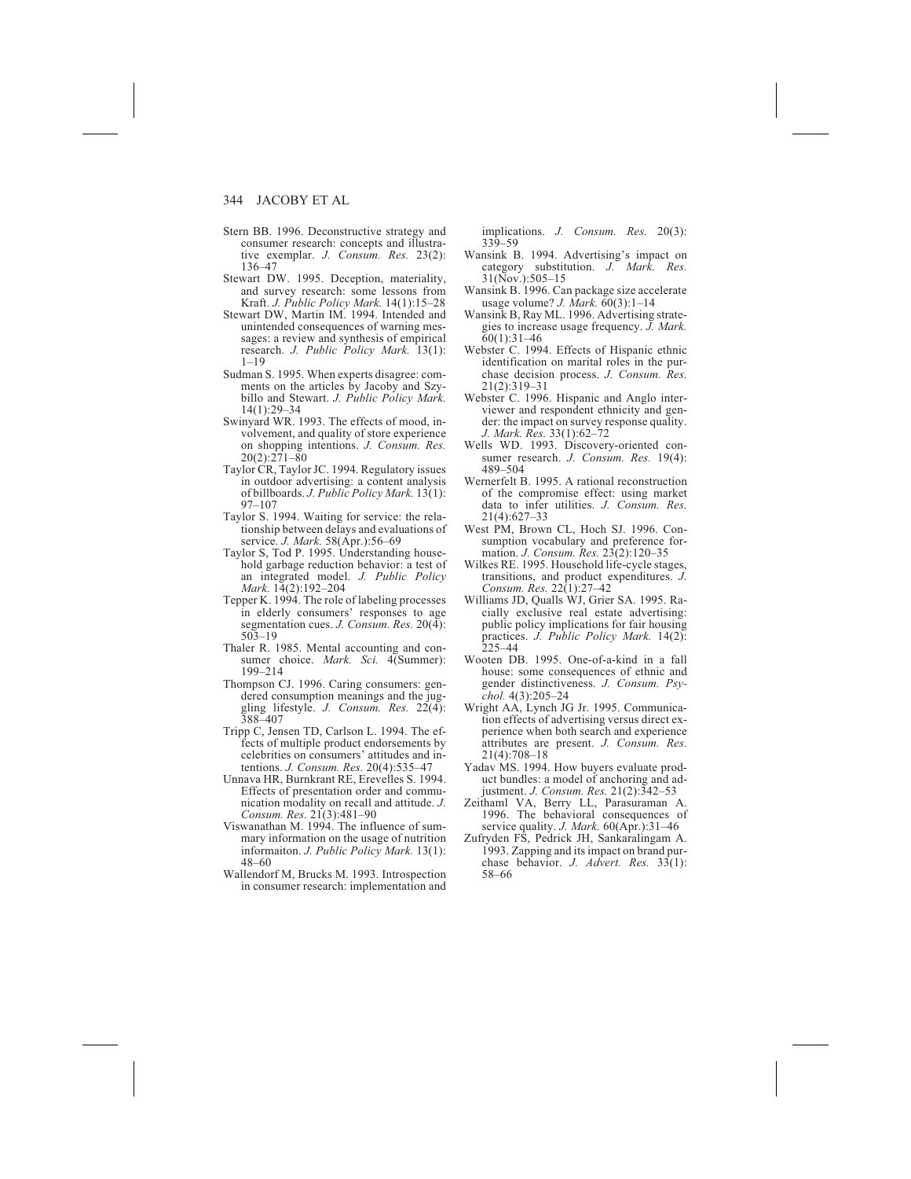- Stern BB. 1996. Deconstructive strategy and consumer research: concepts and illustrative exemplar. *J. Consum. Res.* 23(2): 136–47
- Stewart DW. 1995. Deception, materiality, and survey research: some lessons from Kraft. *J. Public Policy Mark.* 14(1):15–28
- Stewart DW, Martin IM. 1994. Intended and unintended consequences of warning messages: a review and synthesis of empirical research. *J. Public Policy Mark.* 13(1): 1–19
- Sudman S. 1995. When experts disagree: comments on the articles by Jacoby and Szybillo and Stewart. *J. Public Policy Mark.* 14(1):29–34
- Swinyard WR. 1993. The effects of mood, involvement, and quality of store experience on shopping intentions. *J. Consum. Res.*  $20(2):271-\bar{80}$
- Taylor CR, Taylor JC. 1994. Regulatory issues in outdoor advertising: a content analysis of billboards. *J. Public Policy Mark.* 13(1): 97–107
- Taylor S. 1994. Waiting for service: the relationship between delays and evaluations of service. *J. Mark.* 58(Apr.):56–69
- Taylor S, Tod P. 1995. Understanding household garbage reduction behavior: a test of an integrated model. *J. Public Policy Mark.* 14(2):192–204
- Tepper K. 1994. The role of labeling processes in elderly consumers' responses to age segmentation cues. *J. Consum. Res.* 20(4): 503–19
- Thaler R. 1985. Mental accounting and consumer choice. *Mark. Sci.* 4(Summer): 199–214
- Thompson CJ. 1996. Caring consumers: gendered consumption meanings and the juggling lifestyle. *J. Consum. Res.*  $22(4)$ : 388–407
- Tripp C, Jensen TD, Carlson L. 1994. The effects of multiple product endorsements by celebrities on consumers' attitudes and intentions. *J. Consum. Res.* 20(4):535–47
- Unnava HR, Burnkrant RE, Erevelles S. 1994. Effects of presentation order and communication modality on recall and attitude. *J. Consum. Res.* 21(3):481–90
- Viswanathan M. 1994. The influence of summary information on the usage of nutrition informaiton. *J. Public Policy Mark.* 13(1): 48–60
- Wallendorf M, Brucks M. 1993. Introspection in consumer research: implementation and

implications. *J. Consum. Res.* 20(3): 339–59

- Wansink B. 1994. Advertising's impact on category substitution. *J. Mark. Res.*  $31(Nov.):505-15$
- Wansink B. 1996. Can package size accelerate usage volume? *J. Mark.* 60(3):1–14
- Wansink B, Ray ML. 1996. Advertising strategies to increase usage frequency. *J. Mark.*  $60(1)$ :31–46
- Webster C. 1994. Effects of Hispanic ethnic identification on marital roles in the purchase decision process. *J. Consum. Res.* 21(2):319–31
- Webster C. 1996. Hispanic and Anglo interviewer and respondent ethnicity and gender: the impact on survey response quality. *J. Mark. Res.* 33(1):62–72
- Wells WD. 1993. Discovery-oriented consumer research. *J. Consum. Res.* 19(4): 489–504
- Wernerfelt B. 1995. A rational reconstruction of the compromise effect: using market data to infer utilities. *J. Consum. Res.* 21(4):627–33
- West PM, Brown CL, Hoch SJ. 1996. Consumption vocabulary and preference formation. *J. Consum. Res.* 23(2):120–35
- Wilkes RE. 1995. Household life-cycle stages, transitions, and product expenditures. *J. Consum. Res.* 22(1):27–42
- Williams JD, Qualls WJ, Grier SA. 1995. Racially exclusive real estate advertising: public policy implications for fair housing practices. *J. Public Policy Mark.* 14(2):  $225 - 44$
- Wooten DB. 1995. One-of-a-kind in a fall house: some consequences of ethnic and gender distinctiveness. *J. Consum. Psychol.* 4(3):205–24
- Wright AA, Lynch JG Jr. 1995. Communication effects of advertising versus direct experience when both search and experience attributes are present. *J. Consum. Res.* 21(4):708–18
- Yadav MS. 1994. How buyers evaluate product bundles: a model of anchoring and adjustment. *J. Consum. Res.* 21(2):342–53
- Zeithaml VA, Berry LL, Parasuraman A. 1996. The behavioral consequences of service quality. *J. Mark.* 60(Apr.):31–46
- Zufryden FS, Pedrick JH, Sankaralingam A. 1993. Zapping and its impact on brand purchase behavior. *J. Advert. Res.* 33(1): 58–66